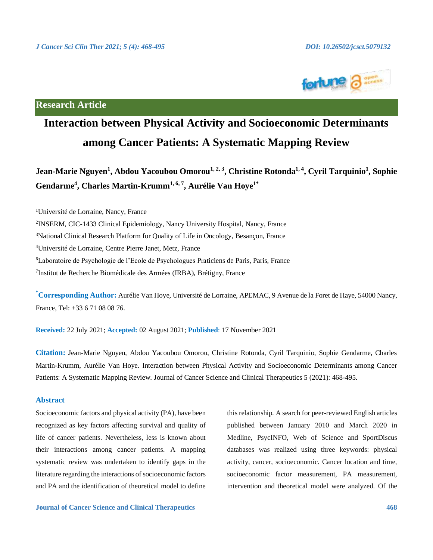

**Research Article**

# **Interaction between Physical Activity and Socioeconomic Determinants among Cancer Patients: A Systematic Mapping Review**

**Jean-Marie Nguyen<sup>1</sup> , Abdou Yacoubou Omorou1, 2, <sup>3</sup> , Christine Rotonda1, <sup>4</sup> , Cyril Tarquinio<sup>1</sup> , Sophie Gendarme<sup>4</sup> , Charles Martin-Krumm1, 6, <sup>7</sup> , Aurélie Van Hoye1\***

<sup>1</sup>Université de Lorraine, Nancy, France

<sup>3</sup>National Clinical Research Platform for Quality of Life in Oncology, Besançon, France

<sup>4</sup>Université de Lorraine, Centre Pierre Janet, Metz, France

<sup>6</sup>Laboratoire de Psychologie de l'Ecole de Psychologues Praticiens de Paris, Paris, France

7 Institut de Recherche Biomédicale des Armées (IRBA), Brétigny, France

**\*Corresponding Author:** Aurélie Van Hoye, Université de Lorraine, APEMAC, 9 Avenue de la Foret de Haye, 54000 Nancy, France, Tel: +33 6 71 08 08 76.

**Received:** 22 July 2021; **Accepted:** 02 August 2021; **Published**: 17 November 2021

**Citation:** Jean-Marie Nguyen, Abdou Yacoubou Omorou, Christine Rotonda, Cyril Tarquinio, Sophie Gendarme, Charles Martin-Krumm, Aurélie Van Hoye. Interaction between Physical Activity and Socioeconomic Determinants among Cancer Patients: A Systematic Mapping Review. Journal of Cancer Science and Clinical Therapeutics 5 (2021): 468-495.

# **Abstract**

Socioeconomic factors and physical activity (PA), have been recognized as key factors affecting survival and quality of life of cancer patients. Nevertheless, less is known about their interactions among cancer patients. A mapping systematic review was undertaken to identify gaps in the literature regarding the interactions of socioeconomic factors and PA and the identification of theoretical model to define

**Journal of Cancer Science and Clinical Therapeutics 468**

this relationship. A search for peer-reviewed English articles published between January 2010 and March 2020 in Medline, PsycINFO, Web of Science and SportDiscus databases was realized using three keywords: physical activity, cancer, socioeconomic. Cancer location and time, socioeconomic factor measurement, PA measurement, intervention and theoretical model were analyzed. Of the

<sup>2</sup> INSERM, CIC-1433 Clinical Epidemiology, Nancy University Hospital, Nancy, France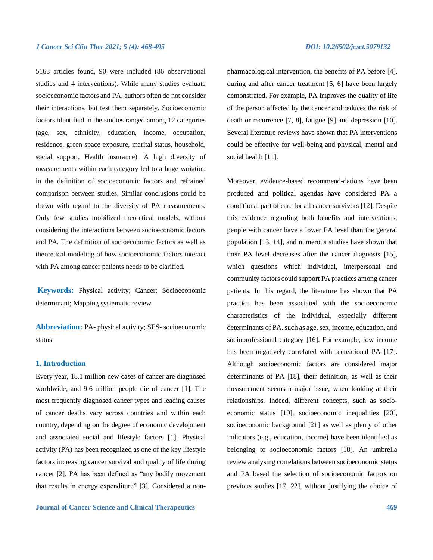5163 articles found, 90 were included (86 observational studies and 4 interventions). While many studies evaluate socioeconomic factors and PA, authors often do not consider their interactions, but test them separately. Socioeconomic factors identified in the studies ranged among 12 categories (age, sex, ethnicity, education, income, occupation, residence, green space exposure, marital status, household, social support, Health insurance). A high diversity of measurements within each category led to a huge variation in the definition of socioeconomic factors and refrained comparison between studies. Similar conclusions could be drawn with regard to the diversity of PA measurements. Only few studies mobilized theoretical models, without considering the interactions between socioeconomic factors and PA. The definition of socioeconomic factors as well as theoretical modeling of how socioeconomic factors interact with PA among cancer patients needs to be clarified.

**Keywords:** Physical activity; Cancer; Socioeconomic determinant; Mapping systematic review

**Abbreviation:** PA- physical activity; SES- socioeconomic status

# **1. Introduction**

Every year, 18.1 million new cases of cancer are diagnosed worldwide, and 9.6 million people die of cancer [1]. The most frequently diagnosed cancer types and leading causes of cancer deaths vary across countries and within each country, depending on the degree of economic development and associated social and lifestyle factors [1]. Physical activity (PA) has been recognized as one of the key lifestyle factors increasing cancer survival and quality of life during cancer [2]. PA has been defined as "any bodily movement that results in energy expenditure" [3]. Considered a non-

**Journal of Cancer Science and Clinical Therapeutics 469**

pharmacological intervention, the benefits of PA before [4], during and after cancer treatment [5, 6] have been largely demonstrated. For example, PA improves the quality of life of the person affected by the cancer and reduces the risk of death or recurrence [7, 8], fatigue [9] and depression [10]. Several literature reviews have shown that PA interventions could be effective for well-being and physical, mental and social health [11].

Moreover, evidence-based recommend-dations have been produced and political agendas have considered PA a conditional part of care for all cancer survivors [12]. Despite this evidence regarding both benefits and interventions, people with cancer have a lower PA level than the general population [13, 14], and numerous studies have shown that their PA level decreases after the cancer diagnosis [15], which questions which individual, interpersonal and community factors could support PA practices among cancer patients. In this regard, the literature has shown that PA practice has been associated with the socioeconomic characteristics of the individual, especially different determinants of PA, such as age, sex, income, education, and socioprofessional category [16]. For example, low income has been negatively correlated with recreational PA [17]. Although socioeconomic factors are considered major determinants of PA [18], their definition, as well as their measurement seems a major issue, when looking at their relationships. Indeed, different concepts, such as socioeconomic status [19], socioeconomic inequalities [20], socioeconomic background [21] as well as plenty of other indicators (e.g., education, income) have been identified as belonging to socioeconomic factors [18]. An umbrella review analysing correlations between socioeconomic status and PA based the selection of socioeconomic factors on previous studies [17, 22], without justifying the choice of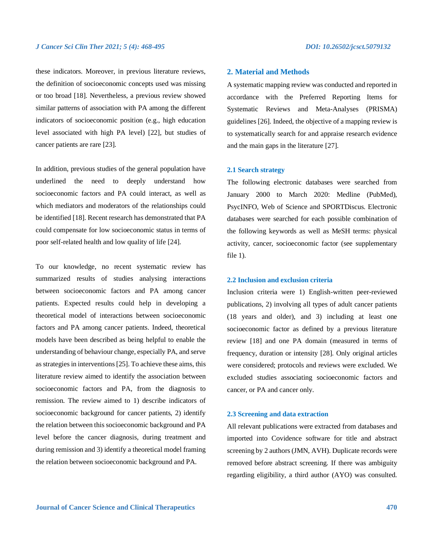these indicators. Moreover, in previous literature reviews, the definition of socioeconomic concepts used was missing or too broad [18]. Nevertheless, a previous review showed similar patterns of association with PA among the different indicators of socioeconomic position (e.g., high education level associated with high PA level) [22], but studies of cancer patients are rare [23].

In addition, previous studies of the general population have underlined the need to deeply understand how socioeconomic factors and PA could interact, as well as which mediators and moderators of the relationships could be identified [18]. Recent research has demonstrated that PA could compensate for low socioeconomic status in terms of poor self-related health and low quality of life [24].

To our knowledge, no recent systematic review has summarized results of studies analysing interactions between socioeconomic factors and PA among cancer patients. Expected results could help in developing a theoretical model of interactions between socioeconomic factors and PA among cancer patients. Indeed, theoretical models have been described as being helpful to enable the understanding of behaviour change, especially PA, and serve as strategies in interventions [25]. To achieve these aims, this literature review aimed to identify the association between socioeconomic factors and PA, from the diagnosis to remission. The review aimed to 1) describe indicators of socioeconomic background for cancer patients, 2) identify the relation between this socioeconomic background and PA level before the cancer diagnosis, during treatment and during remission and 3) identify a theoretical model framing the relation between socioeconomic background and PA.

# **2. Material and Methods**

A systematic mapping review was conducted and reported in accordance with the Preferred Reporting Items for Systematic Reviews and Meta-Analyses (PRISMA) guidelines [26]. Indeed, the objective of a mapping review is to systematically search for and appraise research evidence and the main gaps in the literature [27].

### **2.1 Search strategy**

The following electronic databases were searched from January 2000 to March 2020: Medline (PubMed), PsycINFO, Web of Science and SPORTDiscus. Electronic databases were searched for each possible combination of the following keywords as well as MeSH terms: physical activity, cancer, socioeconomic factor (see supplementary file 1).

### **2.2 Inclusion and exclusion criteria**

Inclusion criteria were 1) English-written peer-reviewed publications, 2) involving all types of adult cancer patients (18 years and older), and 3) including at least one socioeconomic factor as defined by a previous literature review [18] and one PA domain (measured in terms of frequency, duration or intensity [28]. Only original articles were considered; protocols and reviews were excluded. We excluded studies associating socioeconomic factors and cancer, or PA and cancer only.

### **2.3 Screening and data extraction**

All relevant publications were extracted from databases and imported into Covidence software for title and abstract screening by 2 authors (JMN, AVH). Duplicate records were removed before abstract screening. If there was ambiguity regarding eligibility, a third author (AYO) was consulted.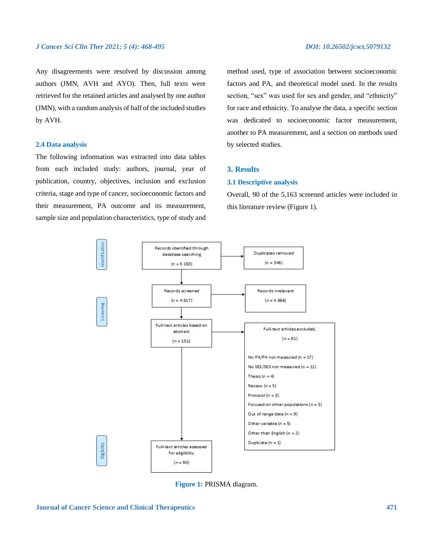Any disagreements were resolved by discussion among authors (JMN, AVH and AYO). Then, full texts were retrieved for the retained articles and analysed by one author (JMN), with a random analysis of half of the included studies by AVH.

# **2.4 Data analysis**

The following information was extracted into data tables from each included study: authors, journal, year of publication, country, objectives, inclusion and exclusion criteria, stage and type of cancer, socioeconomic factors and their measurement, PA outcome and its measurement, sample size and population characteristics, type of study and

method used, type of association between socioeconomic factors and PA, and theoretical model used. In the results section, "sex" was used for sex and gender, and "ethnicity" for race and ethnicity. To analyse the data, a specific section was dedicated to socioeconomic factor measurement, another to PA measurement, and a section on methods used by selected studies.

# **3. Results**

### **3.1 Descriptive analysis**

Overall, 90 of the 5,163 screened articles were included in this literature review (Figure 1).



**Figure 1:** PRISMA diagram.

**Journal of Cancer Science and Clinical Therapeutics 471**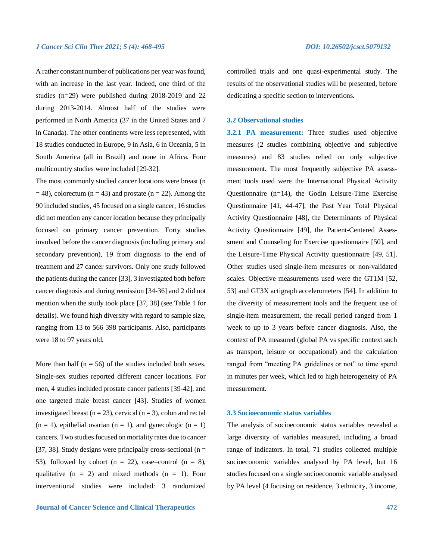A rather constant number of publications per year was found, with an increase in the last year. Indeed, one third of the studies (n=29) were published during 2018-2019 and 22 during 2013-2014. Almost half of the studies were performed in North America (37 in the United States and 7 in Canada). The other continents were less represented, with 18 studies conducted in Europe, 9 in Asia, 6 in Oceania, 5 in South America (all in Brazil) and none in Africa. Four multicountry studies were included [29-32].

The most commonly studied cancer locations were breast (n  $= 48$ ), colorectum (n = 43) and prostate (n = 22). Among the 90 included studies, 45 focused on a single cancer; 16 studies did not mention any cancer location because they principally focused on primary cancer prevention. Forty studies involved before the cancer diagnosis (including primary and secondary prevention), 19 from diagnosis to the end of treatment and 27 cancer survivors. Only one study followed the patients during the cancer [33], 3 investigated both before cancer diagnosis and during remission [34-36] and 2 did not mention when the study took place [37, 38] (see Table 1 for details). We found high diversity with regard to sample size, ranging from 13 to 566 398 participants. Also, participants were 18 to 97 years old.

More than half ( $n = 56$ ) of the studies included both sexes. Single-sex studies reported different cancer locations. For men, 4 studies included prostate cancer patients [39-42], and one targeted male breast cancer [43]. Studies of women investigated breast ( $n = 23$ ), cervical ( $n = 3$ ), colon and rectal  $(n = 1)$ , epithelial ovarian  $(n = 1)$ , and gynecologic  $(n = 1)$ cancers. Two studies focused on mortality rates due to cancer [37, 38]. Study designs were principally cross-sectional ( $n =$ 53), followed by cohort ( $n = 22$ ), case–control ( $n = 8$ ), qualitative  $(n = 2)$  and mixed methods  $(n = 1)$ . Four interventional studies were included: 3 randomized

controlled trials and one quasi-experimental study. The results of the observational studies will be presented, before dedicating a specific section to interventions.

# **3.2 Observational studies**

**3.2.1 PA measurement:** Three studies used objective measures (2 studies combining objective and subjective measures) and 83 studies relied on only subjective measurement. The most frequently subjective PA assessment tools used were the International Physical Activity Questionnaire (n=14), the Godin Leisure-Time Exercise Questionnaire [41, 44-47], the Past Year Total Physical Activity Questionnaire [48], the Determinants of Physical Activity Questionnaire [49], the Patient-Centered Assessment and Counseling for Exercise questionnaire [50], and the Leisure-Time Physical Activity questionnaire [49, 51]. Other studies used single-item measures or non-validated scales. Objective measurements used were the GT1M [52, 53] and GT3X actigraph accelerometers [54]. In addition to the diversity of measurement tools and the frequent use of single-item measurement, the recall period ranged from 1 week to up to 3 years before cancer diagnosis. Also, the context of PA measured (global PA vs specific context such as transport, leisure or occupational) and the calculation ranged from "meeting PA guidelines or not" to time spend in minutes per week, which led to high heterogeneity of PA measurement.

### **3.3 Socioeconomic status variables**

The analysis of socioeconomic status variables revealed a large diversity of variables measured, including a broad range of indicators. In total, 71 studies collected multiple socioeconomic variables analysed by PA level, but 16 studies focused on a single socioeconomic variable analysed by PA level (4 focusing on residence, 3 ethnicity, 3 income,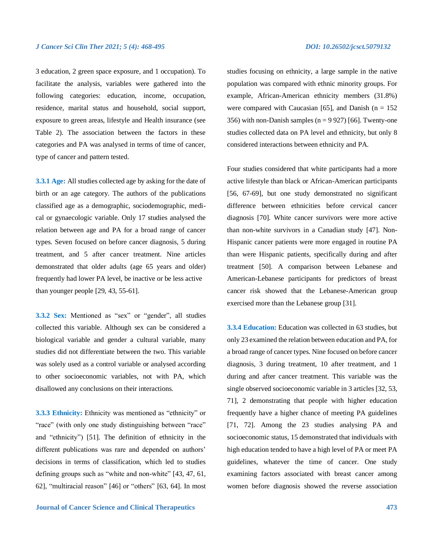3 education, 2 green space exposure, and 1 occupation). To facilitate the analysis, variables were gathered into the following categories: education, income, occupation, residence, marital status and household, social support, exposure to green areas, lifestyle and Health insurance (see Table 2). The association between the factors in these categories and PA was analysed in terms of time of cancer, type of cancer and pattern tested.

**3.3.1 Age:** All studies collected age by asking for the date of birth or an age category. The authors of the publications classified age as a demographic, sociodemographic, medical or gynaecologic variable. Only 17 studies analysed the relation between age and PA for a broad range of cancer types. Seven focused on before cancer diagnosis, 5 during treatment, and 5 after cancer treatment. Nine articles demonstrated that older adults (age 65 years and older) frequently had lower PA level, be inactive or be less active than younger people [29, 43, 55-61].

**3.3.2 Sex:** Mentioned as "sex" or "gender", all studies collected this variable. Although sex can be considered a biological variable and gender a cultural variable, many studies did not differentiate between the two. This variable was solely used as a control variable or analysed according to other socioeconomic variables, not with PA, which disallowed any conclusions on their interactions.

**3.3.3 Ethnicity:** Ethnicity was mentioned as "ethnicity" or "race" (with only one study distinguishing between "race" and "ethnicity") [51]. The definition of ethnicity in the different publications was rare and depended on authors' decisions in terms of classification, which led to studies defining groups such as "white and non-white" [43, 47, 61, 62], "multiracial reason" [46] or "others" [63, 64]. In most studies focusing on ethnicity, a large sample in the native population was compared with ethnic minority groups. For example, African-American ethnicity members (31.8%) were compared with Caucasian [65], and Danish ( $n = 152$ ) 356) with non-Danish samples ( $n = 9927$ ) [66]. Twenty-one studies collected data on PA level and ethnicity, but only 8 considered interactions between ethnicity and PA.

Four studies considered that white participants had a more active lifestyle than black or African-American participants [56, 67-69], but one study demonstrated no significant difference between ethnicities before cervical cancer diagnosis [70]. White cancer survivors were more active than non-white survivors in a Canadian study [47]. Non-Hispanic cancer patients were more engaged in routine PA than were Hispanic patients, specifically during and after treatment [50]. A comparison between Lebanese and American-Lebanese participants for predictors of breast cancer risk showed that the Lebanese-American group exercised more than the Lebanese group [31].

**3.3.4 Education:** Education was collected in 63 studies, but only 23 examined the relation between education and PA, for a broad range of cancer types. Nine focused on before cancer diagnosis, 3 during treatment, 10 after treatment, and 1 during and after cancer treatment. This variable was the single observed socioeconomic variable in 3 articles [32, 53, 71], 2 demonstrating that people with higher education frequently have a higher chance of meeting PA guidelines [71, 72]. Among the 23 studies analysing PA and socioeconomic status, 15 demonstrated that individuals with high education tended to have a high level of PA or meet PA guidelines, whatever the time of cancer. One study examining factors associated with breast cancer among women before diagnosis showed the reverse association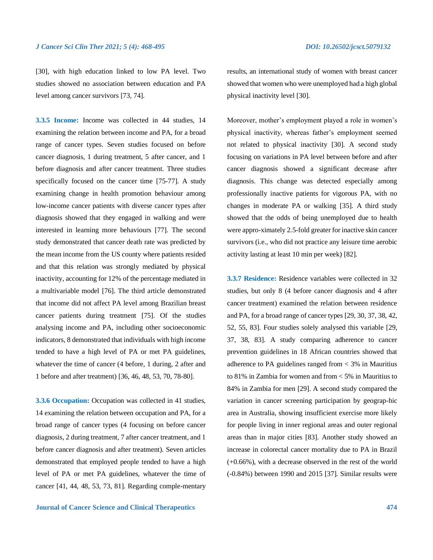[30], with high education linked to low PA level. Two studies showed no association between education and PA level among cancer survivors [73, 74].

**3.3.5 Income:** Income was collected in 44 studies, 14 examining the relation between income and PA, for a broad range of cancer types. Seven studies focused on before cancer diagnosis, 1 during treatment, 5 after cancer, and 1 before diagnosis and after cancer treatment. Three studies specifically focused on the cancer time [75-77]. A study examining change in health promotion behaviour among low-income cancer patients with diverse cancer types after diagnosis showed that they engaged in walking and were interested in learning more behaviours [77]. The second study demonstrated that cancer death rate was predicted by the mean income from the US county where patients resided and that this relation was strongly mediated by physical inactivity, accounting for 12% of the percentage mediated in a multivariable model [76]. The third article demonstrated that income did not affect PA level among Brazilian breast cancer patients during treatment [75]. Of the studies analysing income and PA, including other socioeconomic indicators, 8 demonstrated that individuals with high income tended to have a high level of PA or met PA guidelines, whatever the time of cancer (4 before, 1 during, 2 after and 1 before and after treatment) [36, 46, 48, 53, 70, 78-80].

**3.3.6 Occupation:** Occupation was collected in 41 studies, 14 examining the relation between occupation and PA, for a broad range of cancer types (4 focusing on before cancer diagnosis, 2 during treatment, 7 after cancer treatment, and 1 before cancer diagnosis and after treatment). Seven articles demonstrated that employed people tended to have a high level of PA or met PA guidelines, whatever the time of cancer [41, 44, 48, 53, 73, 81]. Regarding comple-mentary results, an international study of women with breast cancer showed that women who were unemployed had a high global physical inactivity level [30].

Moreover, mother's employment played a role in women's physical inactivity, whereas father's employment seemed not related to physical inactivity [30]. A second study focusing on variations in PA level between before and after cancer diagnosis showed a significant decrease after diagnosis. This change was detected especially among professionally inactive patients for vigorous PA, with no changes in moderate PA or walking [35]. A third study showed that the odds of being unemployed due to health were appro-ximately 2.5-fold greater for inactive skin cancer survivors (i.e., who did not practice any leisure time aerobic activity lasting at least 10 min per week) [82].

**3.3.7 Residence:** Residence variables were collected in 32 studies, but only 8 (4 before cancer diagnosis and 4 after cancer treatment) examined the relation between residence and PA, for a broad range of cancer types [29, 30, 37, 38, 42, 52, 55, 83]. Four studies solely analysed this variable [29, 37, 38, 83]. A study comparing adherence to cancer prevention guidelines in 18 African countries showed that adherence to PA guidelines ranged from < 3% in Mauritius to 81% in Zambia for women and from < 5% in Mauritius to 84% in Zambia for men [29]. A second study compared the variation in cancer screening participation by geograp-hic area in Australia, showing insufficient exercise more likely for people living in inner regional areas and outer regional areas than in major cities [83]. Another study showed an increase in colorectal cancer mortality due to PA in Brazil (+0.66%), with a decrease observed in the rest of the world (-0.84%) between 1990 and 2015 [37]. Similar results were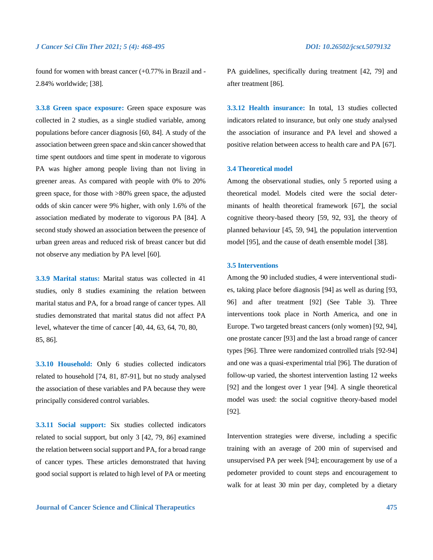found for women with breast cancer (+0.77% in Brazil and - 2.84% worldwide; [38].

**3.3.8 Green space exposure:** Green space exposure was collected in 2 studies, as a single studied variable, among populations before cancer diagnosis [60, 84]. A study of the association between green space and skin cancer showed that time spent outdoors and time spent in moderate to vigorous PA was higher among people living than not living in greener areas. As compared with people with 0% to 20% green space, for those with >80% green space, the adjusted odds of skin cancer were 9% higher, with only 1.6% of the association mediated by moderate to vigorous PA [84]. A second study showed an association between the presence of urban green areas and reduced risk of breast cancer but did not observe any mediation by PA level [60].

**3.3.9 Marital status:** Marital status was collected in 41 studies, only 8 studies examining the relation between marital status and PA, for a broad range of cancer types. All studies demonstrated that marital status did not affect PA level, whatever the time of cancer [40, 44, 63, 64, 70, 80, 85, 86].

**3.3.10 Household:** Only 6 studies collected indicators related to household [74, 81, 87-91], but no study analysed the association of these variables and PA because they were principally considered control variables.

**3.3.11 Social support:** Six studies collected indicators related to social support, but only 3 [42, 79, 86] examined the relation between social support and PA, for a broad range of cancer types. These articles demonstrated that having good social support is related to high level of PA or meeting

PA guidelines, specifically during treatment [42, 79] and after treatment [86].

**3.3.12 Health insurance:** In total, 13 studies collected indicators related to insurance, but only one study analysed the association of insurance and PA level and showed a positive relation between access to health care and PA [67].

## **3.4 Theoretical model**

Among the observational studies, only 5 reported using a theoretical model. Models cited were the social determinants of health theoretical framework [67], the social cognitive theory-based theory [59, 92, 93], the theory of planned behaviour [45, 59, 94], the population intervention model [95], and the cause of death ensemble model [38].

### **3.5 Interventions**

Among the 90 included studies, 4 were interventional studies, taking place before diagnosis [94] as well as during [93, 96] and after treatment [92] (See Table 3). Three interventions took place in North America, and one in Europe. Two targeted breast cancers (only women) [92, 94], one prostate cancer [93] and the last a broad range of cancer types [96]. Three were randomized controlled trials [92-94] and one was a quasi-experimental trial [96]. The duration of follow-up varied, the shortest intervention lasting 12 weeks [92] and the longest over 1 year [94]. A single theoretical model was used: the social cognitive theory-based model [92].

Intervention strategies were diverse, including a specific training with an average of 200 min of supervised and unsupervised PA per week [94]; encouragement by use of a pedometer provided to count steps and encouragement to walk for at least 30 min per day, completed by a dietary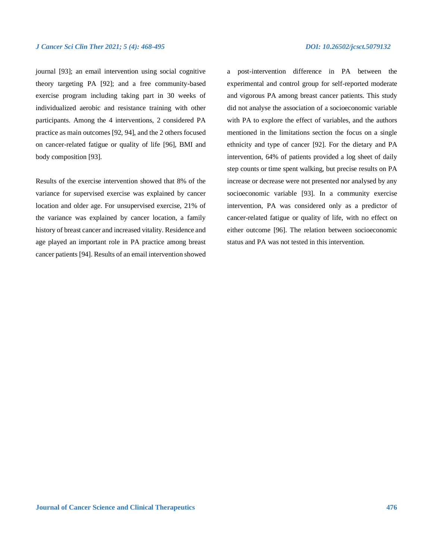journal [93]; an email intervention using social cognitive theory targeting PA [92]; and a free community-based exercise program including taking part in 30 weeks of individualized aerobic and resistance training with other participants. Among the 4 interventions, 2 considered PA practice as main outcomes [92, 94], and the 2 others focused on cancer-related fatigue or quality of life [96], BMI and body composition [93].

Results of the exercise intervention showed that 8% of the variance for supervised exercise was explained by cancer location and older age. For unsupervised exercise, 21% of the variance was explained by cancer location, a family history of breast cancer and increased vitality. Residence and age played an important role in PA practice among breast cancer patients [94]. Results of an email intervention showed

a post-intervention difference in PA between the experimental and control group for self-reported moderate and vigorous PA among breast cancer patients. This study did not analyse the association of a socioeconomic variable with PA to explore the effect of variables, and the authors mentioned in the limitations section the focus on a single ethnicity and type of cancer [92]. For the dietary and PA intervention, 64% of patients provided a log sheet of daily step counts or time spent walking, but precise results on PA increase or decrease were not presented nor analysed by any socioeconomic variable [93]. In a community exercise intervention, PA was considered only as a predictor of cancer-related fatigue or quality of life, with no effect on either outcome [96]. The relation between socioeconomic status and PA was not tested in this intervention.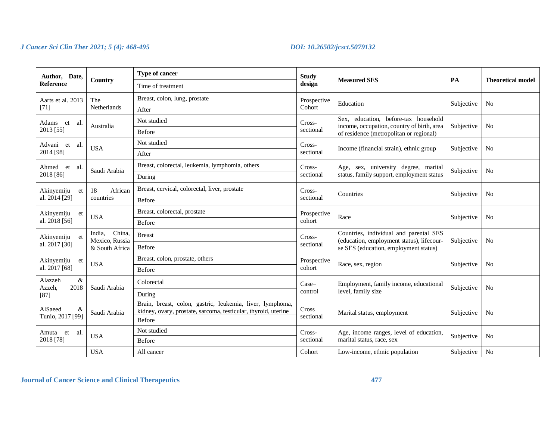| Author, Date,           |                                                      | Type of cancer                                                           | <b>Study</b>          |                                                                                                                              | <b>PA</b>  |                          |
|-------------------------|------------------------------------------------------|--------------------------------------------------------------------------|-----------------------|------------------------------------------------------------------------------------------------------------------------------|------------|--------------------------|
| <b>Reference</b>        | Country                                              | Time of treatment                                                        | design                | <b>Measured SES</b>                                                                                                          |            | <b>Theoretical model</b> |
| Aarts et al. 2013       | The                                                  | Breast, colon, lung, prostate                                            | Prospective           | Education                                                                                                                    |            |                          |
| $[71]$                  | Netherlands                                          | After                                                                    | Cohort                |                                                                                                                              | Subjective | No                       |
| Adams et<br>-al.        | Australia                                            | Not studied                                                              | Cross-                | Sex, education, before-tax household<br>income, occupation, country of birth, area                                           | Subjective | N <sub>o</sub>           |
| 2013 [55]               |                                                      | <b>Before</b>                                                            | sectional             | of residence (metropolitan or regional)                                                                                      |            |                          |
| Advani et<br>-al.       | <b>USA</b>                                           | Not studied                                                              | Cross-                | Income (financial strain), ethnic group                                                                                      | Subjective | No                       |
| 2014 [98]               |                                                      | After                                                                    | sectional             |                                                                                                                              |            |                          |
| Ahmed et<br>-al.        | Saudi Arabia                                         | Breast, colorectal, leukemia, lymphomia, others                          | Cross-                | Age, sex, university degree, marital                                                                                         | Subjective | N <sub>o</sub>           |
| 2018 [86]               |                                                      | During                                                                   | sectional             | status, family support, employment status                                                                                    |            |                          |
| Akinyemiju<br>et        | African<br>18                                        | Breast, cervical, colorectal, liver, prostate                            | Cross-<br>sectional   | Countries                                                                                                                    | Subjective | N <sub>o</sub>           |
| al. 2014 [29]           | countries                                            | Before                                                                   |                       |                                                                                                                              |            |                          |
| Akinyemiju<br>et        | <b>USA</b>                                           | Breast, colorectal, prostate                                             | Prospective<br>cohort | Race                                                                                                                         | Subjective | N <sub>o</sub>           |
| al. 2018 [56]           |                                                      | <b>Before</b>                                                            |                       |                                                                                                                              |            |                          |
| Akinyemiju et           | China,<br>India,<br>Mexico, Russia<br>& South Africa | <b>Breast</b>                                                            | Cross-<br>sectional   | Countries, individual and parental SES<br>(education, employment status), lifecour-<br>se SES (education, employment status) | Subjective | N <sub>o</sub>           |
| al. 2017 [30]           |                                                      | Before                                                                   |                       |                                                                                                                              |            |                          |
| Akinyemiju<br>et        |                                                      | Breast, colon, prostate, others                                          | Prospective           |                                                                                                                              |            | No                       |
| al. 2017 [68]           | <b>USA</b>                                           | Before                                                                   | cohort                | Race, sex, region                                                                                                            | Subjective |                          |
| $\&$<br>Alazzeh<br>2018 | Saudi Arabia                                         | Colorectal                                                               | Case-                 | Employment, family income, educational                                                                                       |            | N <sub>o</sub>           |
| Azzeh,<br>$[87]$        |                                                      | During                                                                   | control               | level, family size                                                                                                           | Subjective |                          |
| AlSaeed<br>&            |                                                      | Brain, breast, colon, gastric, leukemia, liver, lymphoma,                | Cross                 |                                                                                                                              |            |                          |
| Tunio, 2017 [99]        | Saudi Arabia                                         | kidney, ovary, prostate, sarcoma, testicular, thyroid, uterine<br>Before | sectional             | Marital status, employment                                                                                                   | Subjective | N <sub>0</sub>           |
| al.<br>Amuta et         |                                                      | Not studied                                                              | Cross-                | Age, income ranges, level of education,                                                                                      |            |                          |
| 2018 [78]               | <b>USA</b>                                           | Before                                                                   | sectional             | marital status, race, sex                                                                                                    | Subjective | No                       |
|                         | <b>USA</b>                                           | All cancer                                                               | Cohort                | Low-income, ethnic population                                                                                                | Subjective | No                       |

# **Journal of Cancer Science and Clinical Therapeutics 477**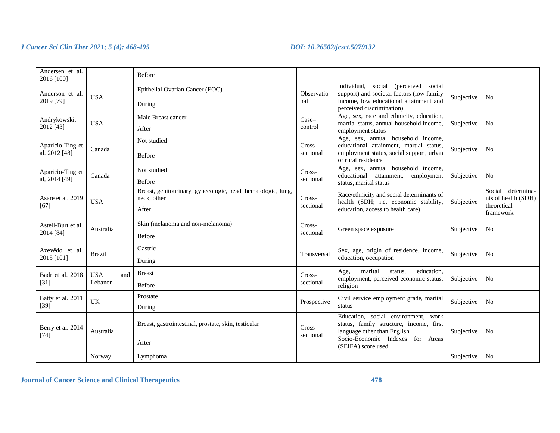| Andersen et al.<br>2016 [100] |                   | Before                                                                      |                     |                                                                                                                  |            |                                             |
|-------------------------------|-------------------|-----------------------------------------------------------------------------|---------------------|------------------------------------------------------------------------------------------------------------------|------------|---------------------------------------------|
| Anderson et al.               |                   | Epithelial Ovarian Cancer (EOC)                                             | Observatio          | Individual,<br>social (perceived social<br>support) and societal factors (low family                             |            |                                             |
| 2019 [79]                     | <b>USA</b>        | During                                                                      | nal                 | income, low educational attainment and<br>perceived discrimination)                                              | Subjective | N <sub>0</sub>                              |
| Andrykowski,                  | <b>USA</b>        | Male Breast cancer                                                          | Case-               | Age, sex, race and ethnicity, education,<br>martial status, annual household income,                             | Subjective | N <sub>0</sub>                              |
| 2012 [43]                     |                   | After                                                                       | control             | employment status                                                                                                |            |                                             |
| Aparicio-Ting et              |                   | Not studied                                                                 | Cross-              | Age, sex, annual household income,<br>educational attainment, martial status,                                    |            |                                             |
| al. 2012 [48]                 | Canada            | Before                                                                      | sectional           | employment status, social support, urban<br>or rural residence                                                   | Subjective | N <sub>o</sub>                              |
| Aparicio-Ting et              | Canada            | Not studied                                                                 | Cross-              | Age, sex, annual household income,<br>educational attainment,<br>employment                                      | Subjective | N <sub>0</sub>                              |
| al, 2014 [49]                 |                   | Before                                                                      | sectional           | status, marital status                                                                                           |            |                                             |
| Asare et al. 2019             | <b>USA</b>        | Breast, genitourinary, gynecologic, head, hematologic, lung,<br>neck, other | Cross-<br>sectional | Race/ethnicity and social determinants of                                                                        |            | Social<br>determina-<br>nts of health (SDH) |
| $[67]$                        |                   | After                                                                       |                     | health (SDH; i.e. economic stability,<br>education, access to health care)                                       | Subjective | theoretical<br>framework                    |
| Astell-Burt et al.            | Australia         | Skin (melanoma and non-melanoma)                                            | Cross-<br>sectional | Green space exposure                                                                                             | Subjective | N <sub>0</sub>                              |
| 2014 [84]                     |                   | <b>Before</b>                                                               |                     |                                                                                                                  |            |                                             |
| Azevêdo et al.                | <b>Brazil</b>     | Gastric                                                                     | Transversal         | Sex, age, origin of residence, income,                                                                           | Subjective | N <sub>0</sub>                              |
| 2015 [101]                    |                   | During                                                                      |                     | education, occupation                                                                                            |            |                                             |
| Badr et al. 2018              | <b>USA</b><br>and | <b>Breast</b>                                                               | Cross-              | marital<br>education.<br>status.<br>Age,<br>employment, perceived economic status,                               |            | N <sub>0</sub>                              |
| $[31]$                        | Lebanon           | <b>Before</b>                                                               | sectional           | religion                                                                                                         | Subjective |                                             |
| Batty et al. 2011             | UK                | Prostate                                                                    |                     | Civil service employment grade, marital                                                                          | Subjective |                                             |
| $[39]$                        |                   | During                                                                      | Prospective         | status                                                                                                           |            | N <sub>o</sub>                              |
| Berry et al. 2014             | Australia         | Breast, gastrointestinal, prostate, skin, testicular                        | Cross-<br>sectional | Education, social environment,<br>work<br>status, family structure, income, first<br>language other than English | Subjective | N <sub>o</sub>                              |
| $[74]$                        |                   | After                                                                       |                     | Socio-Economic Indexes for Areas<br>(SEIFA) score used                                                           |            |                                             |
|                               | Norway            | Lymphoma                                                                    |                     |                                                                                                                  | Subjective | N <sub>o</sub>                              |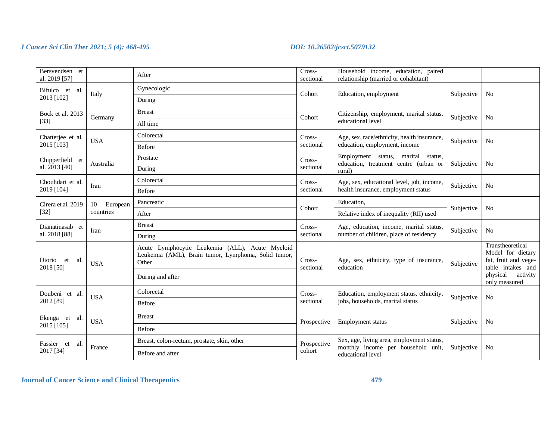| Bersvendsen et<br>al. 2019 [57] |                | After                                                                                                           | Cross-<br>Household income, education, paired<br>relationship (married or cohabitant)<br>sectional |                                                         |            |                                                                                    |
|---------------------------------|----------------|-----------------------------------------------------------------------------------------------------------------|----------------------------------------------------------------------------------------------------|---------------------------------------------------------|------------|------------------------------------------------------------------------------------|
| Bifulco et<br>- al.             |                | Gynecologic                                                                                                     | Cohort                                                                                             |                                                         |            | N <sub>o</sub>                                                                     |
| 2013 [102]                      | Italy          | During                                                                                                          |                                                                                                    | Education, employment                                   | Subjective |                                                                                    |
| Bock et al. 2013                | Germany        | <b>Breast</b>                                                                                                   | Cohort                                                                                             | Citizenship, employment, marital status,                | Subjective | N <sub>o</sub>                                                                     |
| $[33]$                          |                | All time                                                                                                        |                                                                                                    | educational level                                       |            |                                                                                    |
| Chatterjee et al.               | <b>USA</b>     | Colorectal                                                                                                      | Cross-                                                                                             | Age, sex, race/ethnicity, health insurance,             | Subjective | N <sub>o</sub>                                                                     |
| 2015 [103]                      |                | Before                                                                                                          | sectional                                                                                          | education, employment, income                           |            |                                                                                    |
| Chipperfield et                 |                | Prostate                                                                                                        | Cross-                                                                                             | Employment status,<br>marital<br>status,                |            |                                                                                    |
| al. 2013 [40]                   | Australia      | During                                                                                                          | sectional                                                                                          | education, treatment centre (urban or<br>rural)         | Subjective | N <sub>0</sub>                                                                     |
| Chouhdari et al.                | Iran           | Colorectal                                                                                                      | Cross-                                                                                             | Age, sex, educational level, job, income,               | Subjective | N <sub>0</sub>                                                                     |
| 2019 [104]                      |                | Before                                                                                                          | sectional                                                                                          | health insurance, employment status                     |            |                                                                                    |
| Cirera et al. 2019              | 10<br>European | Pancreatic                                                                                                      | Cohort                                                                                             | Education,                                              | Subjective | N <sub>o</sub>                                                                     |
| $[32]$                          | countries      | After                                                                                                           |                                                                                                    | Relative index of inequality (RII) used                 |            |                                                                                    |
| Dianatinasab et                 | Iran           | <b>Breast</b>                                                                                                   | Cross-                                                                                             | Age, education, income, marital status,                 | Subjective | N <sub>o</sub>                                                                     |
| al. 2018 [88]                   |                | During                                                                                                          | sectional                                                                                          | number of children, place of residency                  |            |                                                                                    |
| Diorio et<br>al.<br>2018 [50]   | <b>USA</b>     | Acute Lymphocytic Leukemia (ALL), Acute Myeloid<br>Leukemia (AML), Brain tumor, Lymphoma, Solid tumor,<br>Other | Cross-<br>sectional                                                                                | Age, sex, ethnicity, type of insurance,<br>education    | Subjective | Transtheoretical<br>Model for dietary<br>fat, fruit and vege-<br>table intakes and |
|                                 |                | During and after                                                                                                |                                                                                                    |                                                         |            | physical<br>activity<br>only measured                                              |
| Doubeni et al.                  | <b>USA</b>     | Colorectal                                                                                                      | Cross-                                                                                             | Education, employment status, ethnicity,                | Subjective | N <sub>o</sub>                                                                     |
| 2012 [89]                       |                | Before                                                                                                          | sectional                                                                                          | jobs, households, marital status                        |            |                                                                                    |
| Ekenga et<br>-al.               | <b>USA</b>     | <b>Breast</b>                                                                                                   | Prospective                                                                                        | Employment status                                       | Subjective | N <sub>o</sub>                                                                     |
| 2015 [105]                      |                | Before                                                                                                          |                                                                                                    |                                                         |            |                                                                                    |
| Fassier et<br>-al.              |                | Breast, colon-rectum, prostate, skin, other                                                                     | Prospective                                                                                        | Sex, age, living area, employment status,               |            |                                                                                    |
| 2017 [34]                       | France         | Before and after                                                                                                | cohort                                                                                             | monthly income per household unit,<br>educational level | Subjective | No                                                                                 |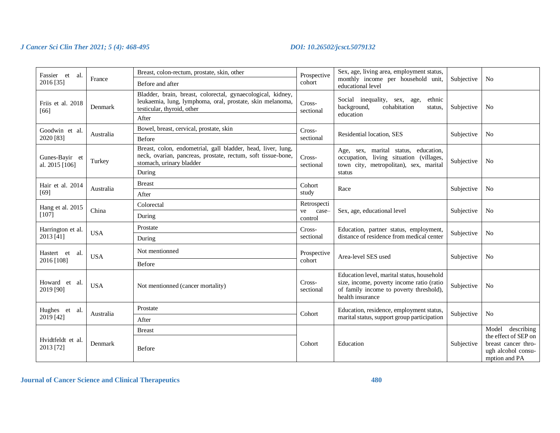| Fassier et al.<br>2016 [35]      | France     | Breast, colon-rectum, prostate, skin, other<br>Before and after                                                                                                    | Prospective<br>cohort                 | Sex, age, living area, employment status,<br>monthly income per household unit,<br>educational level                                                   | Subjective | N <sub>o</sub>                                                                                         |
|----------------------------------|------------|--------------------------------------------------------------------------------------------------------------------------------------------------------------------|---------------------------------------|--------------------------------------------------------------------------------------------------------------------------------------------------------|------------|--------------------------------------------------------------------------------------------------------|
| Friis et al. 2018<br>[66]        | Denmark    | Bladder, brain, breast, colorectal, gynaecological, kidney,<br>leukaemia, lung, lymphoma, oral, prostate, skin melanoma,<br>testicular, thyroid, other<br>After    | Cross-<br>sectional                   | Social inequality, sex, age,<br>ethnic<br>background,<br>cohabitation<br>Subjective<br>status,<br>education                                            |            | N <sub>0</sub>                                                                                         |
| Goodwin et al.<br>2020 [83]      | Australia  | Bowel, breast, cervical, prostate, skin<br>Before                                                                                                                  | Cross-<br>sectional                   | Residential location, SES                                                                                                                              | Subjective | N <sub>o</sub>                                                                                         |
| Gunes-Bayir et<br>al. 2015 [106] | Turkey     | Breast, colon, endometrial, gall bladder, head, liver, lung,<br>neck, ovarian, pancreas, prostate, rectum, soft tissue-bone,<br>stomach, urinary bladder<br>During | Cross-<br>sectional                   | Age, sex, marital status, education,<br>occupation, living situation (villages,<br>Subjective<br>town city, metropolitan), sex, marital<br>status      |            | N <sub>o</sub>                                                                                         |
| Hair et al. 2014<br>$[69]$       | Australia  | <b>Breast</b><br>After                                                                                                                                             | Cohort<br>study                       | Race                                                                                                                                                   | Subjective | N <sub>o</sub>                                                                                         |
| Hang et al. 2015<br>$[107]$      | China      | Colorectal<br>During                                                                                                                                               | Retrospecti<br>ve<br>case-<br>control | Sex, age, educational level                                                                                                                            | Subjective | N <sub>0</sub>                                                                                         |
| Harrington et al.<br>2013 [41]   | <b>USA</b> | Prostate<br>During                                                                                                                                                 | Cross-<br>sectional                   | Education, partner status, employment,<br>distance of residence from medical center                                                                    | Subjective | N <sub>o</sub>                                                                                         |
| Hastert et al.<br>2016 [108]     | <b>USA</b> | Not mentionned<br>Before                                                                                                                                           | Prospective<br>cohort                 | Area-level SES used                                                                                                                                    | Subjective | N <sub>o</sub>                                                                                         |
| Howard et al.<br>2019 [90]       | <b>USA</b> | Not mentionned (cancer mortality)                                                                                                                                  | Cross-<br>sectional                   | Education level, marital status, household<br>size, income, poverty income ratio (ratio<br>of family income to poverty threshold),<br>health insurance | Subjective | N <sub>0</sub>                                                                                         |
| Hughes et al.                    | Australia  | Prostate                                                                                                                                                           | Cohort                                | Education, residence, employment status,                                                                                                               | Subjective | N <sub>o</sub>                                                                                         |
| 2019 [42]                        |            | After                                                                                                                                                              |                                       | marital status, support group participation                                                                                                            |            |                                                                                                        |
| Hvidtfeldt et al.<br>2013 [72]   | Denmark    | <b>Breast</b><br>Before                                                                                                                                            | Cohort                                | Education                                                                                                                                              | Subjective | Model describing<br>the effect of SEP on<br>breast cancer thro-<br>ugh alcohol consu-<br>mption and PA |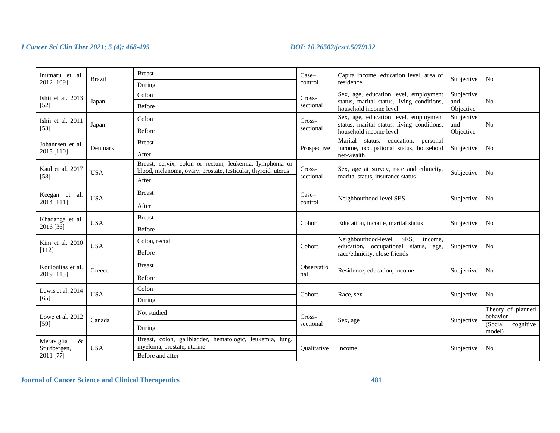| Inumaru et al.                     | <b>Brazil</b> | <b>Breast</b>                                                                                                           | Case-            | Capita income, education level, area of                                             | Subjective        | N <sub>0</sub>                 |
|------------------------------------|---------------|-------------------------------------------------------------------------------------------------------------------------|------------------|-------------------------------------------------------------------------------------|-------------------|--------------------------------|
| 2012 [109]                         |               | During                                                                                                                  | control          | residence                                                                           |                   |                                |
| Ishii et al. 2013                  |               | Colon                                                                                                                   | Cross-           | Sex, age, education level, employment                                               | Subjective        |                                |
| $[52]$                             | Japan         | Before                                                                                                                  | sectional        | status, marital status, living conditions,<br>household income level                | and<br>Objective  | No                             |
| Ishii et al. 2011                  | Japan         | Colon                                                                                                                   | Cross-           | Sex, age, education level, employment<br>status, marital status, living conditions, | Subjective<br>and | N <sub>o</sub>                 |
| $[53]$                             |               | Before                                                                                                                  | sectional        | household income level                                                              | Objective         |                                |
| Johannsen et al.                   | Denmark       | <b>Breast</b>                                                                                                           | Prospective      | Marital<br>status, education,<br>personal<br>income, occupational status, household | Subjective        | N <sub>0</sub>                 |
| 2015 [110]                         |               | After                                                                                                                   |                  | net-wealth                                                                          |                   |                                |
| Kaul et al. 2017                   | <b>USA</b>    | Breast, cervix, colon or rectum, leukemia, lymphoma or<br>blood, melanoma, ovary, prostate, testicular, thyroid, uterus | Cross-           | Sex, age at survey, race and ethnicity,                                             | Subjective        | N <sub>0</sub>                 |
| $[58]$                             |               | After                                                                                                                   | sectional        | marital status, insurance status                                                    |                   |                                |
| Keegan et al.                      | <b>USA</b>    | <b>Breast</b>                                                                                                           | Case-<br>control | Neighbourhood-level SES                                                             | Subjective        | N <sub>0</sub>                 |
| 2014 [111]                         |               | After                                                                                                                   |                  |                                                                                     |                   |                                |
| Khadanga et al.                    | <b>USA</b>    | <b>Breast</b>                                                                                                           | Cohort           | Education, income, marital status                                                   | Subjective        | N <sub>0</sub>                 |
| 2016 [36]                          |               | Before                                                                                                                  |                  |                                                                                     |                   |                                |
| Kim et al. 2010                    | <b>USA</b>    | Colon. rectal                                                                                                           | Cohort           | Neighbourhood-level<br>SES,<br>income,<br>education, occupational status, age,      | Subjective        | N <sub>0</sub>                 |
| [112]                              |               | Before                                                                                                                  |                  | race/ethnicity, close friends                                                       |                   |                                |
| Kouloulias et al.                  | Greece        | <b>Breast</b>                                                                                                           | Observatio       | Residence, education, income                                                        | Subjective        | N <sub>0</sub>                 |
| 2019 [113]                         |               | Before                                                                                                                  | nal              |                                                                                     |                   |                                |
| Lewis et al. 2014                  | <b>USA</b>    | Colon                                                                                                                   | Cohort           |                                                                                     |                   |                                |
| $[65]$                             |               | During                                                                                                                  |                  | Race, sex                                                                           | Subjective        | N <sub>o</sub>                 |
| Lowe et al. 2012                   |               | Not studied                                                                                                             | Cross-           |                                                                                     |                   | Theory of planned<br>behavior  |
| $[59]$                             | Canada        | During                                                                                                                  | sectional        | Sex, age                                                                            | Subjective        | (Social<br>cognitive<br>model) |
| $\&$<br>Meraviglia<br>Stuifbergen, | <b>USA</b>    | Breast, colon, gallbladder, hematologic, leukemia, lung,<br>myeloma, prostate, uterine                                  | Qualitative      | Income                                                                              | Subjective        | No                             |
| 2011 [77]                          |               | Before and after                                                                                                        |                  |                                                                                     |                   |                                |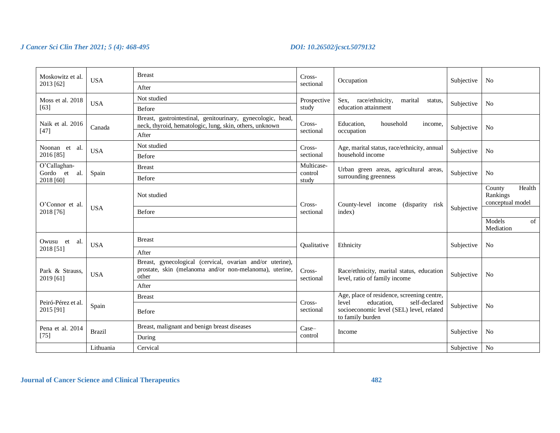| Moskowitz et al.<br><b>USA</b><br>2013 [62] |               | <b>Breast</b>                                                                                                                 | Cross-<br>sectional | Occupation                                                                         | Subjective | N <sub>0</sub>                                   |
|---------------------------------------------|---------------|-------------------------------------------------------------------------------------------------------------------------------|---------------------|------------------------------------------------------------------------------------|------------|--------------------------------------------------|
|                                             |               | After                                                                                                                         |                     |                                                                                    |            |                                                  |
| Moss et al. 2018                            | <b>USA</b>    | Not studied                                                                                                                   | Prospective         | Sex, race/ethnicity,<br>marital<br>status,                                         | Subjective | N <sub>0</sub>                                   |
| $[63]$                                      |               | Before                                                                                                                        | study               | education attainment                                                               |            |                                                  |
| Naik et al. 2016<br>$[47]$                  | Canada        | Breast, gastrointestinal, genitourinary, gynecologic, head,<br>neck, thyroid, hematologic, lung, skin, others, unknown        | Cross-<br>sectional | Education,<br>household<br>income,<br>occupation                                   | Subjective | N <sub>0</sub>                                   |
|                                             |               | After                                                                                                                         |                     |                                                                                    |            |                                                  |
| Noonan et al.                               | <b>USA</b>    | Not studied                                                                                                                   | Cross-              | Age, marital status, race/ethnicity, annual                                        | Subjective | N <sub>0</sub>                                   |
| 2016 [85]                                   |               | Before                                                                                                                        | sectional           | household income                                                                   |            |                                                  |
| O'Callaghan-                                |               | <b>Breast</b>                                                                                                                 | Multicase-          | Urban green areas, agricultural areas,                                             |            |                                                  |
| Gordo et<br>al.<br>2018 [60]                | Spain         | Before                                                                                                                        | control<br>study    | surrounding greenness                                                              | Subjective | N <sub>0</sub>                                   |
| O'Connor et al.                             | <b>USA</b>    | Not studied                                                                                                                   | Cross-              | County-level<br>income<br>(disparity risk)<br>index)                               | Subjective | County<br>Health<br>Rankings<br>conceptual model |
| 2018 [76]                                   |               | Before                                                                                                                        | sectional           |                                                                                    |            |                                                  |
|                                             |               |                                                                                                                               |                     |                                                                                    |            | Models<br>of<br>Mediation                        |
| Owusu et<br>- al.                           | <b>USA</b>    | <b>Breast</b>                                                                                                                 | Oualitative         | Ethnicity                                                                          | Subjective | N <sub>0</sub>                                   |
| 2018 [51]                                   |               | After                                                                                                                         |                     |                                                                                    |            |                                                  |
| Park & Strauss.<br>2019 [61]                | <b>USA</b>    | Breast, gynecological (cervical, ovarian and/or uterine),<br>prostate, skin (melanoma and/or non-melanoma), uterine,<br>other | Cross-<br>sectional | Race/ethnicity, marital status, education<br>level, ratio of family income         | Subjective | N <sub>o</sub>                                   |
|                                             |               | After                                                                                                                         |                     |                                                                                    |            |                                                  |
|                                             |               | <b>Breast</b>                                                                                                                 | Cross-              | Age, place of residence, screening centre,<br>level<br>education,<br>self-declared |            |                                                  |
| Peiró-Pérez et al.<br>2015 [91]             | Spain         | Before                                                                                                                        | sectional           | socioeconomic level (SEL) level, related<br>to family burden                       | Subjective | N <sub>o</sub>                                   |
| Pena et al. 2014                            |               | Breast, malignant and benign breast diseases                                                                                  | $Case-$             |                                                                                    |            |                                                  |
| [75]                                        | <b>Brazil</b> | During                                                                                                                        | control             | Income                                                                             | Subjective | N <sub>0</sub>                                   |
|                                             | Lithuania     | Cervical                                                                                                                      |                     |                                                                                    | Subjective | No                                               |

# **Journal of Cancer Science and Clinical Therapeutics 482**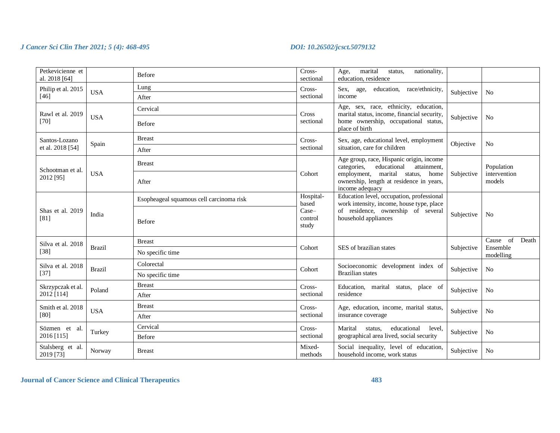| Petkevicienne et<br>al. 2018 [64] |               | <b>Before</b>                            | Cross-<br>sectional                               | marital<br>nationality,<br>Age,<br>status.<br>education, residence                                                                                   |            |                                      |
|-----------------------------------|---------------|------------------------------------------|---------------------------------------------------|------------------------------------------------------------------------------------------------------------------------------------------------------|------------|--------------------------------------|
| Philip et al. 2015                | <b>USA</b>    | Lung                                     | Cross-                                            | race/ethnicity,<br>Sex, age,<br>education,                                                                                                           | Subjective | N <sub>0</sub>                       |
| $[46]$                            |               | After                                    | sectional                                         | income                                                                                                                                               |            |                                      |
| Rawl et al. 2019                  |               | Cervical                                 | Cross                                             | Age, sex, race, ethnicity, education,<br>marital status, income, financial security,                                                                 |            |                                      |
| $[70]$                            | <b>USA</b>    | Before                                   | sectional                                         | home ownership, occupational status,<br>place of birth                                                                                               | Subjective | N <sub>0</sub>                       |
| Santos-Lozano                     | Spain         | <b>Breast</b>                            | Cross-                                            | Sex, age, educational level, employment                                                                                                              | Objective  | N <sub>o</sub>                       |
| et al. 2018 [54]                  |               | After                                    | sectional                                         | situation, care for children                                                                                                                         |            |                                      |
| Schootman et al.                  |               | <b>Breast</b>                            |                                                   | Age group, race, Hispanic origin, income<br>categories.<br>educational<br>attainment,                                                                |            | Population<br>intervention<br>models |
| 2012 [95]                         | <b>USA</b>    | After                                    | Cohort                                            | employment, marital status,<br>home<br>ownership, length at residence in years,<br>income adequacy                                                   | Subjective |                                      |
| Shas et al. 2019<br>[81]          | India         | Esopheageal squamous cell carcinoma risk | Hospital-<br>based<br>$Case-$<br>control<br>study | Education level, occupation, professional<br>work intensity, income, house type, place<br>of residence, ownership of several<br>household appliances | Subjective |                                      |
|                                   |               | Before                                   |                                                   |                                                                                                                                                      |            | N <sub>0</sub>                       |
| Silva et al. 2018                 | <b>Brazil</b> | <b>Breast</b>                            |                                                   |                                                                                                                                                      | Subjective | of<br>Death<br>Cause                 |
| $[38]$                            |               | No specific time                         | Cohort                                            | SES of brazilian states                                                                                                                              |            | Ensemble<br>modelling                |
| Silva et al. 2018                 | <b>Brazil</b> | Colorectal                               | Cohort                                            | Socioeconomic development index of                                                                                                                   | Subjective | N <sub>0</sub>                       |
| $[37]$                            |               | No specific time                         |                                                   | <b>Brazilian</b> states                                                                                                                              |            |                                      |
| Skrzypczak et al.                 | Poland        | <b>Breast</b>                            | Cross-                                            | Education, marital status, place of                                                                                                                  | Subjective |                                      |
| 2012 [114]                        |               | After                                    | sectional                                         | residence                                                                                                                                            |            | N <sub>0</sub>                       |
| Smith et al. 2018                 | <b>USA</b>    | <b>Breast</b>                            | Cross-                                            | Age, education, income, marital status,                                                                                                              |            | N <sub>0</sub>                       |
| [80]                              |               | After                                    | sectional                                         | insurance coverage                                                                                                                                   | Subjective |                                      |
| Sözmen et al.                     |               | Cervical                                 | Cross-                                            | Marital<br>educational<br>status,<br>level,                                                                                                          |            |                                      |
| 2016 [115]                        | Turkey        | Before                                   | sectional                                         | geographical area lived, social security                                                                                                             | Subjective | N <sub>0</sub>                       |
| Stalsberg et al.<br>2019 [73]     | Norway        | <b>Breast</b>                            | Mixed-<br>methods                                 | Social inequality, level of education,<br>household income, work status                                                                              | Subjective | N <sub>0</sub>                       |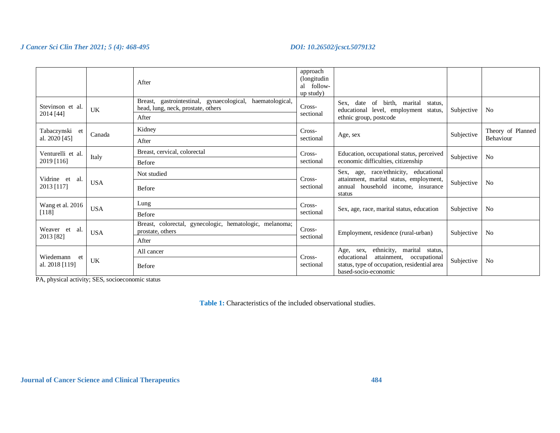|                                   |            | After                                                                                                          | approach<br>(longitudin)<br>al follow-<br>up study) |                                                                                                                                                               |            |                                |
|-----------------------------------|------------|----------------------------------------------------------------------------------------------------------------|-----------------------------------------------------|---------------------------------------------------------------------------------------------------------------------------------------------------------------|------------|--------------------------------|
| Stevinson et al.<br>2014 [44]     | UK         | gastrointestinal, gynaecological,<br>Breast.<br>haematological,<br>head, lung, neck, prostate, others<br>After | Cross-<br>sectional                                 | Sex, date<br>of birth, marital<br>status,<br>educational level, employment status,<br>ethnic group, postcode                                                  | Subjective | N <sub>0</sub>                 |
| Tabaczynski et<br>al. 2020 [45]   | Canada     | Kidney<br>After                                                                                                | Cross-<br>sectional                                 | Subjective<br>Age, sex                                                                                                                                        |            | Theory of Planned<br>Behaviour |
| Venturelli et al.<br>2019 [116]   | Italy      | Breast, cervical, colorectal<br><b>Before</b>                                                                  | Cross-<br>sectional                                 | Education, occupational status, perceived<br>economic difficulties, citizenship                                                                               |            | N <sub>o</sub>                 |
| Vidrine et<br>- al.<br>2013 [117] | <b>USA</b> | Not studied<br>Before                                                                                          | Cross-<br>sectional                                 | Sex, age, race/ethnicity, educational<br>attainment, marital status, employment,<br>household income, insurance<br>annual<br>status                           | Subjective | No                             |
| Wang et al. 2016<br>[118]         | <b>USA</b> | Lung<br>Before                                                                                                 | Cross-<br>sectional                                 | Sex, age, race, marital status, education                                                                                                                     | Subjective | N <sub>0</sub>                 |
| Weaver et al.<br>2013 [82]        | <b>USA</b> | Breast, colorectal, gynecologic, hematologic, melanoma;<br>prostate, others<br>After                           | Cross-<br>sectional                                 | Employment, residence (rural-urban)                                                                                                                           | Subjective | N <sub>0</sub>                 |
| Wiedemann<br>et<br>al. 2018 [119] | UK         | All cancer<br>Before                                                                                           | Cross-<br>sectional                                 | ethnicity, marital status,<br>Age, sex,<br>attainment,<br>educational<br>occupational<br>status, type of occupation, residential area<br>based-socio-economic | Subjective | N <sub>o</sub>                 |

PA, physical activity; SES, socioeconomic status

**Table 1:** Characteristics of the included observational studies.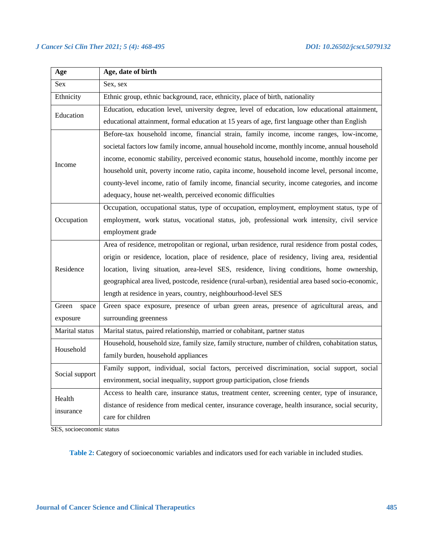| Age            | Age, date of birth                                                                                 |
|----------------|----------------------------------------------------------------------------------------------------|
| Sex            | Sex, sex                                                                                           |
| Ethnicity      | Ethnic group, ethnic background, race, ethnicity, place of birth, nationality                      |
| Education      | Education, education level, university degree, level of education, low educational attainment,     |
|                | educational attainment, formal education at 15 years of age, first language other than English     |
|                | Before-tax household income, financial strain, family income, income ranges, low-income,           |
|                | societal factors low family income, annual household income, monthly income, annual household      |
| Income         | income, economic stability, perceived economic status, household income, monthly income per        |
|                | household unit, poverty income ratio, capita income, household income level, personal income,      |
|                | county-level income, ratio of family income, financial security, income categories, and income     |
|                | adequacy, house net-wealth, perceived economic difficulties                                        |
|                | Occupation, occupational status, type of occupation, employment, employment status, type of        |
| Occupation     | employment, work status, vocational status, job, professional work intensity, civil service        |
|                | employment grade                                                                                   |
|                | Area of residence, metropolitan or regional, urban residence, rural residence from postal codes,   |
|                | origin or residence, location, place of residence, place of residency, living area, residential    |
| Residence      | location, living situation, area-level SES, residence, living conditions, home ownership,          |
|                | geographical area lived, postcode, residence (rural-urban), residential area based socio-economic, |
|                | length at residence in years, country, neighbourhood-level SES                                     |
| Green<br>space | Green space exposure, presence of urban green areas, presence of agricultural areas, and           |
| exposure       | surrounding greenness                                                                              |
| Marital status | Marital status, paired relationship, married or cohabitant, partner status                         |
| Household      | Household, household size, family size, family structure, number of children, cohabitation status, |
|                | family burden, household appliances                                                                |
| Social support | Family support, individual, social factors, perceived discrimination, social support, social       |
|                | environment, social inequality, support group participation, close friends                         |
| Health         | Access to health care, insurance status, treatment center, screening center, type of insurance,    |
| insurance      | distance of residence from medical center, insurance coverage, health insurance, social security,  |
|                | care for children                                                                                  |

SES, socioeconomic status

**Table 2:** Category of socioeconomic variables and indicators used for each variable in included studies.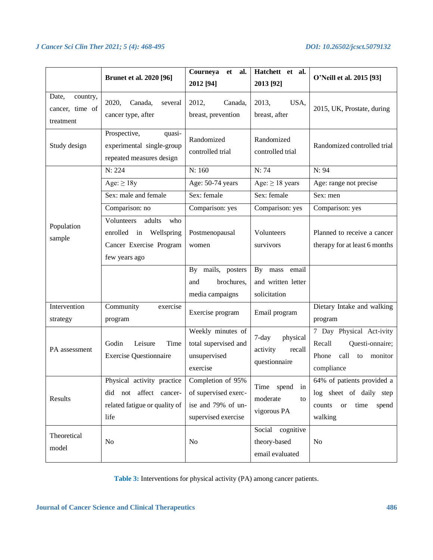|                                                   | <b>Brunet et al. 2020 [96]</b>                                                                    | Courneya<br>et<br>al.<br>2012 [94]                                                     | Hatchett et al.<br>2013 [92]                                | O'Neill et al. 2015 [93]                                                                                 |
|---------------------------------------------------|---------------------------------------------------------------------------------------------------|----------------------------------------------------------------------------------------|-------------------------------------------------------------|----------------------------------------------------------------------------------------------------------|
| Date,<br>country,<br>cancer, time of<br>treatment | 2020,<br>Canada,<br>several<br>cancer type, after                                                 | 2012,<br>Canada,<br>breast, prevention                                                 | 2013,<br>USA,<br>breast, after                              | 2015, UK, Prostate, during                                                                               |
| Study design                                      | Prospective,<br>quasi-<br>experimental single-group<br>repeated measures design                   | Randomized<br>controlled trial                                                         | Randomized<br>controlled trial                              | Randomized controlled trial                                                                              |
|                                                   | N: 224                                                                                            | N: 160                                                                                 | N: 74                                                       | N: 94                                                                                                    |
|                                                   | Age: $\geq$ 18y                                                                                   | Age: 50-74 years                                                                       | Age: $\geq$ 18 years                                        | Age: range not precise                                                                                   |
|                                                   | Sex: male and female                                                                              | Sex: female                                                                            | Sex: female                                                 | Sex: men                                                                                                 |
|                                                   | Comparison: no                                                                                    | Comparison: yes                                                                        | Comparison: yes                                             | Comparison: yes                                                                                          |
| Population<br>sample                              | Volunteers<br>adults<br>who<br>enrolled in Wellspring<br>Cancer Exercise Program<br>few years ago | Postmenopausal<br>women                                                                | Volunteers<br>survivors                                     | Planned to receive a cancer<br>therapy for at least 6 months                                             |
|                                                   |                                                                                                   | By mails, posters<br>brochures,<br>and<br>media campaigns                              | email<br>By mass<br>and written letter<br>solicitation      |                                                                                                          |
| Intervention<br>strategy                          | Community<br>exercise<br>program                                                                  | Exercise program                                                                       | Email program                                               | Dietary Intake and walking<br>program                                                                    |
| PA assessment                                     | Leisure<br>Time<br>Godin<br><b>Exercise Questionnaire</b>                                         | Weekly minutes of<br>total supervised and<br>unsupervised<br>exercise                  | physical<br>$7$ -day<br>activity<br>recall<br>questionnaire | 7 Day Physical Act-ivity<br>Recall<br>Questi-onnaire;<br>Phone<br>call<br>monitor<br>to<br>compliance    |
| Results                                           | Physical activity practice<br>did not affect cancer-<br>related fatigue or quality of<br>life     | Completion of 95%<br>of supervised exerc-<br>ise and 79% of un-<br>supervised exercise | Time spend in<br>moderate<br>to<br>vigorous PA              | 64% of patients provided a<br>log sheet of daily step<br>time<br>spend<br>counts<br><b>or</b><br>walking |
| Theoretical<br>model                              | N <sub>0</sub>                                                                                    | No                                                                                     | Social cognitive<br>theory-based<br>email evaluated         | N <sub>o</sub>                                                                                           |

Table 3: Interventions for physical activity (PA) among cancer patients.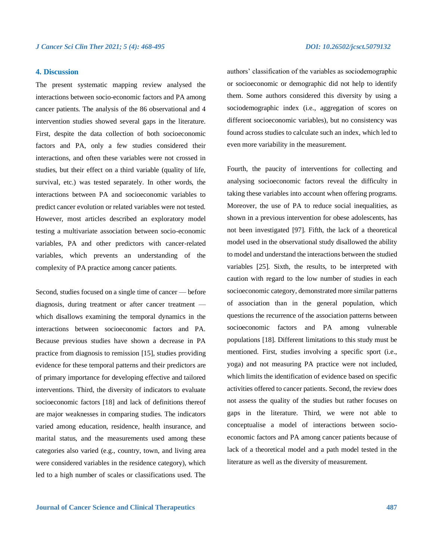# **4. Discussion**

The present systematic mapping review analysed the interactions between socio-economic factors and PA among cancer patients. The analysis of the 86 observational and 4 intervention studies showed several gaps in the literature. First, despite the data collection of both socioeconomic factors and PA, only a few studies considered their interactions, and often these variables were not crossed in studies, but their effect on a third variable (quality of life, survival, etc.) was tested separately. In other words, the interactions between PA and socioeconomic variables to predict cancer evolution or related variables were not tested. However, most articles described an exploratory model testing a multivariate association between socio-economic variables, PA and other predictors with cancer-related variables, which prevents an understanding of the complexity of PA practice among cancer patients.

Second, studies focused on a single time of cancer — before diagnosis, during treatment or after cancer treatment which disallows examining the temporal dynamics in the interactions between socioeconomic factors and PA. Because previous studies have shown a decrease in PA practice from diagnosis to remission [15], studies providing evidence for these temporal patterns and their predictors are of primary importance for developing effective and tailored interventions. Third, the diversity of indicators to evaluate socioeconomic factors [18] and lack of definitions thereof are major weaknesses in comparing studies. The indicators varied among education, residence, health insurance, and marital status, and the measurements used among these categories also varied (e.g., country, town, and living area were considered variables in the residence category), which led to a high number of scales or classifications used. The authors' classification of the variables as sociodemographic or socioeconomic or demographic did not help to identify them. Some authors considered this diversity by using a sociodemographic index (i.e., aggregation of scores on different socioeconomic variables), but no consistency was found across studies to calculate such an index, which led to even more variability in the measurement.

Fourth, the paucity of interventions for collecting and analysing socioeconomic factors reveal the difficulty in taking these variables into account when offering programs. Moreover, the use of PA to reduce social inequalities, as shown in a previous intervention for obese adolescents, has not been investigated [97]. Fifth, the lack of a theoretical model used in the observational study disallowed the ability to model and understand the interactions between the studied variables [25]. Sixth, the results, to be interpreted with caution with regard to the low number of studies in each socioeconomic category, demonstrated more similar patterns of association than in the general population, which questions the recurrence of the association patterns between socioeconomic factors and PA among vulnerable populations [18]. Different limitations to this study must be mentioned. First, studies involving a specific sport (i.e., yoga) and not measuring PA practice were not included, which limits the identification of evidence based on specific activities offered to cancer patients. Second, the review does not assess the quality of the studies but rather focuses on gaps in the literature. Third, we were not able to conceptualise a model of interactions between socioeconomic factors and PA among cancer patients because of lack of a theoretical model and a path model tested in the literature as well as the diversity of measurement.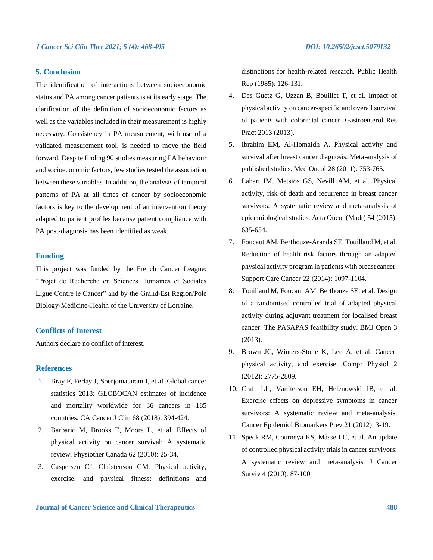# **5. Conclusion**

The identification of interactions between socioeconomic status and PA among cancer patients is at its early stage. The clarification of the definition of socioeconomic factors as well as the variables included in their measurement is highly necessary. Consistency in PA measurement, with use of a validated measurement tool, is needed to move the field forward. Despite finding 90 studies measuring PA behaviour and socioeconomic factors, few studies tested the association between these variables. In addition, the analysis of temporal patterns of PA at all times of cancer by socioeconomic factors is key to the development of an intervention theory adapted to patient profiles because patient compliance with PA post-diagnosis has been identified as weak.

# **Funding**

This project was funded by the French Cancer League: "Projet de Recherche en Sciences Humaines et Sociales Ligue Contre le Cancer" and by the Grand-Est Region/Pole Biology-Medicine-Health of the University of Lorraine.

# **Conflicts of Interest**

Authors declare no conflict of interest.

# **References**

- 1. Bray F, Ferlay J, Soerjomataram I, et al. Global cancer statistics 2018: GLOBOCAN estimates of incidence and mortality worldwide for 36 cancers in 185 countries. CA Cancer J Clin 68 (2018): 394-424.
- 2. Barbaric M, Brooks E, Moore L, et al. Effects of physical activity on cancer survival: A systematic review. Physiother Canada 62 (2010): 25-34.
- 3. Caspersen CJ, Christenson GM. Physical activity, exercise, and physical fitness: definitions and

distinctions for health-related research. Public Health Rep (1985): 126-131.

- 4. Des Guetz G, Uzzan B, Bouillet T, et al. Impact of physical activity on cancer-specific and overall survival of patients with colorectal cancer. Gastroenterol Res Pract 2013 (2013).
- 5. Ibrahim EM, Al-Homaidh A. Physical activity and survival after breast cancer diagnosis: Meta-analysis of published studies. Med Oncol 28 (2011): 753-765.
- 6. Lahart IM, Metsios GS, Nevill AM, et al. Physical activity, risk of death and recurrence in breast cancer survivors: A systematic review and meta-analysis of epidemiological studies. Acta Oncol (Madr) 54 (2015): 635-654.
- 7. Foucaut AM, Berthouze-Aranda SE, Touillaud M, et al. Reduction of health risk factors through an adapted physical activity program in patients with breast cancer. Support Care Cancer 22 (2014): 1097-1104.
- 8. Touillaud M, Foucaut AM, Berthouze SE, et al. Design of a randomised controlled trial of adapted physical activity during adjuvant treatment for localised breast cancer: The PASAPAS feasibility study. BMJ Open 3 (2013).
- 9. Brown JC, Winters-Stone K, Lee A, et al. Cancer, physical activity, and exercise. Compr Physiol 2 (2012): 2775-2809.
- 10. Craft LL, VanIterson EH, Helenowski IB, et al. Exercise effects on depressive symptoms in cancer survivors: A systematic review and meta-analysis. Cancer Epidemiol Biomarkers Prev 21 (2012): 3-19.
- 11. Speck RM, Courneya KS, Mâsse LC, et al. An update of controlled physical activity trials in cancer survivors: A systematic review and meta-analysis. J Cancer Surviv 4 (2010): 87-100.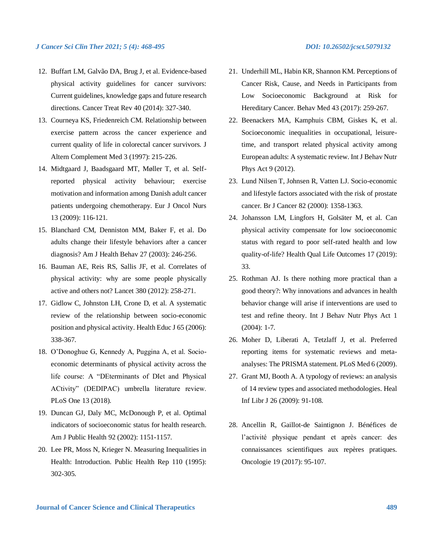- 12. Buffart LM, Galvão DA, Brug J, et al. Evidence-based physical activity guidelines for cancer survivors: Current guidelines, knowledge gaps and future research directions. Cancer Treat Rev 40 (2014): 327-340.
- 13. Courneya KS, Friedenreich CM. Relationship between exercise pattern across the cancer experience and current quality of life in colorectal cancer survivors. J Altern Complement Med 3 (1997): 215-226.
- 14. Midtgaard J, Baadsgaard MT, Møller T, et al. Selfreported physical activity behaviour; exercise motivation and information among Danish adult cancer patients undergoing chemotherapy. Eur J Oncol Nurs 13 (2009): 116-121.
- 15. Blanchard CM, Denniston MM, Baker F, et al. Do adults change their lifestyle behaviors after a cancer diagnosis? Am J Health Behav 27 (2003): 246-256.
- 16. Bauman AE, Reis RS, Sallis JF, et al. Correlates of physical activity: why are some people physically active and others not? Lancet 380 (2012): 258-271.
- 17. Gidlow C, Johnston LH, Crone D, et al. A systematic review of the relationship between socio-economic position and physical activity. Health Educ J 65 (2006): 338-367.
- 18. O'Donoghue G, Kennedy A, Puggina A, et al. Socioeconomic determinants of physical activity across the life course: A "DEterminants of DIet and Physical ACtivity" (DEDIPAC) umbrella literature review. PLoS One 13 (2018).
- 19. Duncan GJ, Daly MC, McDonough P, et al. Optimal indicators of socioeconomic status for health research. Am J Public Health 92 (2002): 1151-1157.
- 20. Lee PR, Moss N, Krieger N. Measuring Inequalities in Health: Introduction. Public Health Rep 110 (1995): 302-305.
- 
- 21. Underhill ML, Habin KR, Shannon KM. Perceptions of Cancer Risk, Cause, and Needs in Participants from Low Socioeconomic Background at Risk for Hereditary Cancer. Behav Med 43 (2017): 259-267.
- 22. Beenackers MA, Kamphuis CBM, Giskes K, et al. Socioeconomic inequalities in occupational, leisuretime, and transport related physical activity among European adults: A systematic review. Int J Behav Nutr Phys Act 9 (2012).
- 23. Lund Nilsen T, Johnsen R, Vatten LJ. Socio-economic and lifestyle factors associated with the risk of prostate cancer. Br J Cancer 82 (2000): 1358-1363.
- 24. Johansson LM, Lingfors H, Golsäter M, et al. Can physical activity compensate for low socioeconomic status with regard to poor self-rated health and low quality-of-life? Health Qual Life Outcomes 17 (2019): 33.
- 25. Rothman AJ. Is there nothing more practical than a good theory?: Why innovations and advances in health behavior change will arise if interventions are used to test and refine theory. Int J Behav Nutr Phys Act 1 (2004): 1-7.
- 26. Moher D, Liberati A, Tetzlaff J, et al. Preferred reporting items for systematic reviews and metaanalyses: The PRISMA statement. PLoS Med 6 (2009).
- 27. Grant MJ, Booth A. A typology of reviews: an analysis of 14 review types and associated methodologies. Heal Inf Libr J 26 (2009): 91-108.
- 28. Ancellin R, Gaillot-de Saintignon J. Bénéfices de l'activité physique pendant et après cancer: des connaissances scientifiques aux repères pratiques. Oncologie 19 (2017): 95-107.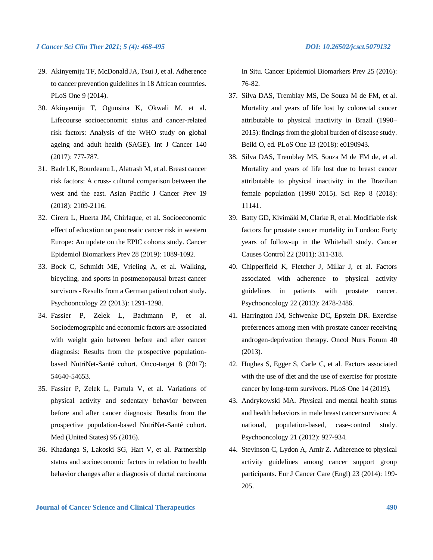- 29. Akinyemiju TF, McDonald JA, Tsui J, et al. Adherence to cancer prevention guidelines in 18 African countries. PLoS One 9 (2014).
- 30. Akinyemiju T, Ogunsina K, Okwali M, et al. Lifecourse socioeconomic status and cancer-related risk factors: Analysis of the WHO study on global ageing and adult health (SAGE). Int J Cancer 140 (2017): 777-787.
- 31. Badr LK, Bourdeanu L, Alatrash M, et al. Breast cancer risk factors: A cross- cultural comparison between the west and the east. Asian Pacific J Cancer Prev 19 (2018): 2109-2116.
- 32. Cirera L, Huerta JM, Chirlaque, et al. Socioeconomic effect of education on pancreatic cancer risk in western Europe: An update on the EPIC cohorts study. Cancer Epidemiol Biomarkers Prev 28 (2019): 1089-1092.
- 33. Bock C, Schmidt ME, Vrieling A, et al. Walking, bicycling, and sports in postmenopausal breast cancer survivors - Results from a German patient cohort study. Psychooncology 22 (2013): 1291-1298.
- 34. Fassier P, Zelek L, Bachmann P, et al. Sociodemographic and economic factors are associated with weight gain between before and after cancer diagnosis: Results from the prospective populationbased NutriNet-Santé cohort. Onco-target 8 (2017): 54640-54653.
- 35. Fassier P, Zelek L, Partula V, et al. Variations of physical activity and sedentary behavior between before and after cancer diagnosis: Results from the prospective population-based NutriNet-Santé cohort. Med (United States) 95 (2016).
- 36. Khadanga S, Lakoski SG, Hart V, et al. Partnership status and socioeconomic factors in relation to health behavior changes after a diagnosis of ductal carcinoma

In Situ. Cancer Epidemiol Biomarkers Prev 25 (2016): 76-82.

- 37. Silva DAS, Tremblay MS, De Souza M de FM, et al. Mortality and years of life lost by colorectal cancer attributable to physical inactivity in Brazil (1990– 2015): findings from the global burden of disease study. Beiki O, ed. PLoS One 13 (2018): e0190943.
- 38. Silva DAS, Tremblay MS, Souza M de FM de, et al. Mortality and years of life lost due to breast cancer attributable to physical inactivity in the Brazilian female population (1990–2015). Sci Rep 8 (2018): 11141.
- 39. Batty GD, Kivimäki M, Clarke R, et al. Modifiable risk factors for prostate cancer mortality in London: Forty years of follow-up in the Whitehall study. Cancer Causes Control 22 (2011): 311-318.
- 40. Chipperfield K, Fletcher J, Millar J, et al. Factors associated with adherence to physical activity guidelines in patients with prostate cancer. Psychooncology 22 (2013): 2478-2486.
- 41. Harrington JM, Schwenke DC, Epstein DR. Exercise preferences among men with prostate cancer receiving androgen-deprivation therapy. Oncol Nurs Forum 40 (2013).
- 42. Hughes S, Egger S, Carle C, et al. Factors associated with the use of diet and the use of exercise for prostate cancer by long-term survivors. PLoS One 14 (2019).
- 43. Andrykowski MA. Physical and mental health status and health behaviors in male breast cancer survivors: A national, population-based, case-control study. Psychooncology 21 (2012): 927-934.
- 44. Stevinson C, Lydon A, Amir Z. Adherence to physical activity guidelines among cancer support group participants. Eur J Cancer Care (Engl) 23 (2014): 199- 205.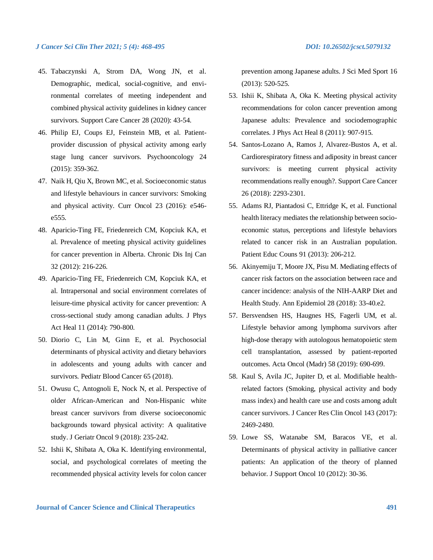- 45. Tabaczynski A, Strom DA, Wong JN, et al. Demographic, medical, social-cognitive, and environmental correlates of meeting independent and combined physical activity guidelines in kidney cancer survivors. Support Care Cancer 28 (2020): 43-54.
- 46. Philip EJ, Coups EJ, Feinstein MB, et al. Patientprovider discussion of physical activity among early stage lung cancer survivors. Psychooncology 24 (2015): 359-362.
- 47. Naik H, Qiu X, Brown MC, et al. Socioeconomic status and lifestyle behaviours in cancer survivors: Smoking and physical activity. Curr Oncol 23 (2016): e546 e555.
- 48. Aparicio-Ting FE, Friedenreich CM, Kopciuk KA, et al. Prevalence of meeting physical activity guidelines for cancer prevention in Alberta. Chronic Dis Inj Can 32 (2012): 216-226.
- 49. Aparicio-Ting FE, Friedenreich CM, Kopciuk KA, et al. Intrapersonal and social environment correlates of leisure-time physical activity for cancer prevention: A cross-sectional study among canadian adults. J Phys Act Heal 11 (2014): 790-800.
- 50. Diorio C, Lin M, Ginn E, et al. Psychosocial determinants of physical activity and dietary behaviors in adolescents and young adults with cancer and survivors. Pediatr Blood Cancer 65 (2018).
- 51. Owusu C, Antognoli E, Nock N, et al. Perspective of older African-American and Non-Hispanic white breast cancer survivors from diverse socioeconomic backgrounds toward physical activity: A qualitative study. J Geriatr Oncol 9 (2018): 235-242.
- 52. Ishii K, Shibata A, Oka K. Identifying environmental, social, and psychological correlates of meeting the recommended physical activity levels for colon cancer

prevention among Japanese adults. J Sci Med Sport 16 (2013): 520-525.

- 53. Ishii K, Shibata A, Oka K. Meeting physical activity recommendations for colon cancer prevention among Japanese adults: Prevalence and sociodemographic correlates. J Phys Act Heal 8 (2011): 907-915.
- 54. Santos-Lozano A, Ramos J, Alvarez-Bustos A, et al. Cardiorespiratory fitness and adiposity in breast cancer survivors: is meeting current physical activity recommendations really enough?. Support Care Cancer 26 (2018): 2293-2301.
- 55. Adams RJ, Piantadosi C, Ettridge K, et al. Functional health literacy mediates the relationship between socioeconomic status, perceptions and lifestyle behaviors related to cancer risk in an Australian population. Patient Educ Couns 91 (2013): 206-212.
- 56. Akinyemiju T, Moore JX, Pisu M. Mediating effects of cancer risk factors on the association between race and cancer incidence: analysis of the NIH-AARP Diet and Health Study. Ann Epidemiol 28 (2018): 33-40.e2.
- 57. Bersvendsen HS, Haugnes HS, Fagerli UM, et al. Lifestyle behavior among lymphoma survivors after high-dose therapy with autologous hematopoietic stem cell transplantation, assessed by patient-reported outcomes. Acta Oncol (Madr) 58 (2019): 690-699.
- 58. Kaul S, Avila JC, Jupiter D, et al. Modifiable healthrelated factors (Smoking, physical activity and body mass index) and health care use and costs among adult cancer survivors. J Cancer Res Clin Oncol 143 (2017): 2469-2480.
- 59. Lowe SS, Watanabe SM, Baracos VE, et al. Determinants of physical activity in palliative cancer patients: An application of the theory of planned behavior. J Support Oncol 10 (2012): 30-36.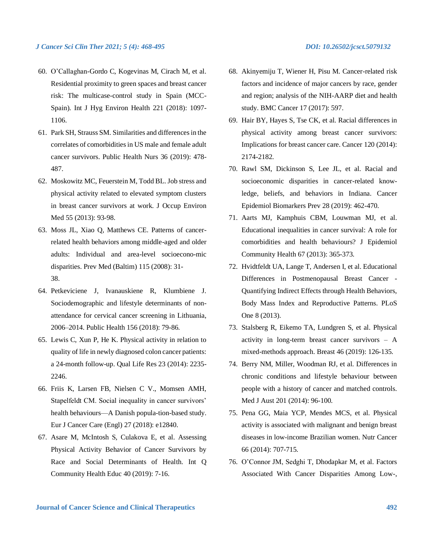- 60. O'Callaghan-Gordo C, Kogevinas M, Cirach M, et al. Residential proximity to green spaces and breast cancer risk: The multicase-control study in Spain (MCC-Spain). Int J Hyg Environ Health 221 (2018): 1097- 1106.
- 61. Park SH, Strauss SM. Similarities and differences in the correlates of comorbidities in US male and female adult cancer survivors. Public Health Nurs 36 (2019): 478- 487.
- 62. Moskowitz MC, Feuerstein M, Todd BL. Job stress and physical activity related to elevated symptom clusters in breast cancer survivors at work. J Occup Environ Med 55 (2013): 93-98.
- 63. Moss JL, Xiao Q, Matthews CE. Patterns of cancerrelated health behaviors among middle-aged and older adults: Individual and area-level socioecono-mic disparities. Prev Med (Baltim) 115 (2008): 31- 38.
- 64. Petkeviciene J, Ivanauskiene R, Klumbiene J. Sociodemographic and lifestyle determinants of nonattendance for cervical cancer screening in Lithuania, 2006–2014. Public Health 156 (2018): 79-86.
- 65. Lewis C, Xun P, He K. Physical activity in relation to quality of life in newly diagnosed colon cancer patients: a 24-month follow-up. Qual Life Res 23 (2014): 2235- 2246.
- 66. Friis K, Larsen FB, Nielsen C V., Momsen AMH, Stapelfeldt CM. Social inequality in cancer survivors' health behaviours—A Danish popula-tion-based study. Eur J Cancer Care (Engl) 27 (2018): e12840.
- 67. Asare M, McIntosh S, Culakova E, et al. Assessing Physical Activity Behavior of Cancer Survivors by Race and Social Determinants of Health. Int Q Community Health Educ 40 (2019): 7-16.
- 
- 68. Akinyemiju T, Wiener H, Pisu M. Cancer-related risk factors and incidence of major cancers by race, gender and region; analysis of the NIH-AARP diet and health study. BMC Cancer 17 (2017): 597.
- 69. Hair BY, Hayes S, Tse CK, et al. Racial differences in physical activity among breast cancer survivors: Implications for breast cancer care. Cancer 120 (2014): 2174-2182.
- 70. Rawl SM, Dickinson S, Lee JL, et al. Racial and socioeconomic disparities in cancer-related knowledge, beliefs, and behaviors in Indiana. Cancer Epidemiol Biomarkers Prev 28 (2019): 462-470.
- 71. Aarts MJ, Kamphuis CBM, Louwman MJ, et al. Educational inequalities in cancer survival: A role for comorbidities and health behaviours? J Epidemiol Community Health 67 (2013): 365-373.
- 72. Hvidtfeldt UA, Lange T, Andersen I, et al. Educational Differences in Postmenopausal Breast Cancer - Quantifying Indirect Effects through Health Behaviors, Body Mass Index and Reproductive Patterns. PLoS One 8 (2013).
- 73. Stalsberg R, Eikemo TA, Lundgren S, et al. Physical activity in long-term breast cancer survivors – A mixed-methods approach. Breast 46 (2019): 126-135.
- 74. Berry NM, Miller, Woodman RJ, et al. Differences in chronic conditions and lifestyle behaviour between people with a history of cancer and matched controls. Med J Aust 201 (2014): 96-100.
- 75. Pena GG, Maia YCP, Mendes MCS, et al. Physical activity is associated with malignant and benign breast diseases in low-income Brazilian women. Nutr Cancer 66 (2014): 707-715.
- 76. O'Connor JM, Sedghi T, Dhodapkar M, et al. Factors Associated With Cancer Disparities Among Low-,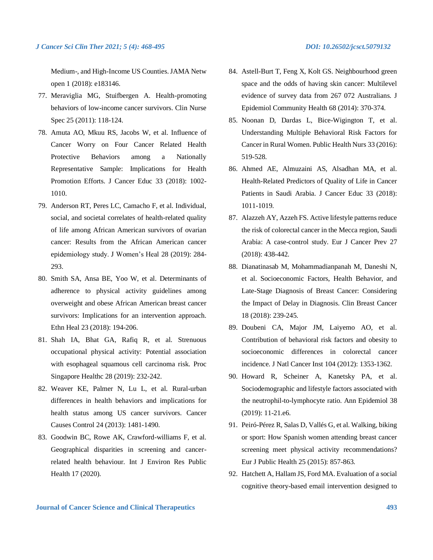Medium-, and High-Income US Counties. JAMA Netw open 1 (2018): e183146.

- 77. Meraviglia MG, Stuifbergen A. Health-promoting behaviors of low-income cancer survivors. Clin Nurse Spec 25 (2011): 118-124.
- 78. Amuta AO, Mkuu RS, Jacobs W, et al. Influence of Cancer Worry on Four Cancer Related Health Protective Behaviors among a Nationally Representative Sample: Implications for Health Promotion Efforts. J Cancer Educ 33 (2018): 1002- 1010.
- 79. Anderson RT, Peres LC, Camacho F, et al. Individual, social, and societal correlates of health-related quality of life among African American survivors of ovarian cancer: Results from the African American cancer epidemiology study. J Women's Heal 28 (2019): 284- 293.
- 80. Smith SA, Ansa BE, Yoo W, et al. Determinants of adherence to physical activity guidelines among overweight and obese African American breast cancer survivors: Implications for an intervention approach. Ethn Heal 23 (2018): 194-206.
- 81. Shah IA, Bhat GA, Rafiq R, et al. Strenuous occupational physical activity: Potential association with esophageal squamous cell carcinoma risk. Proc Singapore Healthc 28 (2019): 232-242.
- 82. Weaver KE, Palmer N, Lu L, et al. Rural-urban differences in health behaviors and implications for health status among US cancer survivors. Cancer Causes Control 24 (2013): 1481-1490.
- 83. Goodwin BC, Rowe AK, Crawford-williams F, et al. Geographical disparities in screening and cancerrelated health behaviour. Int J Environ Res Public Health 17 (2020).
- 84. Astell-Burt T, Feng X, Kolt GS. Neighbourhood green space and the odds of having skin cancer: Multilevel evidence of survey data from 267 072 Australians. J Epidemiol Community Health 68 (2014): 370-374.
- 85. Noonan D, Dardas L, Bice-Wigington T, et al. Understanding Multiple Behavioral Risk Factors for Cancer in Rural Women. Public Health Nurs 33 (2016): 519-528.
- 86. Ahmed AE, Almuzaini AS, Alsadhan MA, et al. Health-Related Predictors of Quality of Life in Cancer Patients in Saudi Arabia. J Cancer Educ 33 (2018): 1011-1019.
- 87. Alazzeh AY, Azzeh FS. Active lifestyle patterns reduce the risk of colorectal cancer in the Mecca region, Saudi Arabia: A case-control study. Eur J Cancer Prev 27 (2018): 438-442.
- 88. Dianatinasab M, Mohammadianpanah M, Daneshi N, et al. Socioeconomic Factors, Health Behavior, and Late-Stage Diagnosis of Breast Cancer: Considering the Impact of Delay in Diagnosis. Clin Breast Cancer 18 (2018): 239-245.
- 89. Doubeni CA, Major JM, Laiyemo AO, et al. Contribution of behavioral risk factors and obesity to socioeconomic differences in colorectal cancer incidence. J Natl Cancer Inst 104 (2012): 1353-1362.
- 90. Howard R, Scheiner A, Kanetsky PA, et al. Sociodemographic and lifestyle factors associated with the neutrophil-to-lymphocyte ratio. Ann Epidemiol 38 (2019): 11-21.e6.
- 91. Peiró-Pérez R, Salas D, Vallés G, et al. Walking, biking or sport: How Spanish women attending breast cancer screening meet physical activity recommendations? Eur J Public Health 25 (2015): 857-863.
- 92. Hatchett A, Hallam JS, Ford MA. Evaluation of a social cognitive theory-based email intervention designed to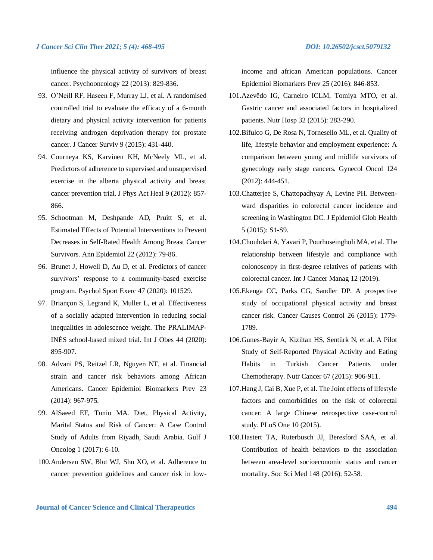influence the physical activity of survivors of breast cancer. Psychooncology 22 (2013): 829-836.

- 93. O'Neill RF, Haseen F, Murray LJ, et al. A randomised controlled trial to evaluate the efficacy of a 6-month dietary and physical activity intervention for patients receiving androgen deprivation therapy for prostate cancer. J Cancer Surviv 9 (2015): 431-440.
- 94. Courneya KS, Karvinen KH, McNeely ML, et al. Predictors of adherence to supervised and unsupervised exercise in the alberta physical activity and breast cancer prevention trial. J Phys Act Heal 9 (2012): 857- 866.
- 95. Schootman M, Deshpande AD, Pruitt S, et al. Estimated Effects of Potential Interventions to Prevent Decreases in Self-Rated Health Among Breast Cancer Survivors. Ann Epidemiol 22 (2012): 79-86.
- 96. Brunet J, Howell D, Au D, et al. Predictors of cancer survivors' response to a community-based exercise program. Psychol Sport Exerc 47 (2020): 101529.
- 97. Briançon S, Legrand K, Muller L, et al. Effectiveness of a socially adapted intervention in reducing social inequalities in adolescence weight. The PRALIMAP-INÈS school-based mixed trial. Int J Obes 44 (2020): 895-907.
- 98. Advani PS, Reitzel LR, Nguyen NT, et al. Financial strain and cancer risk behaviors among African Americans. Cancer Epidemiol Biomarkers Prev 23 (2014): 967-975.
- 99. AlSaeed EF, Tunio MA. Diet, Physical Activity, Marital Status and Risk of Cancer: A Case Control Study of Adults from Riyadh, Saudi Arabia. Gulf J Oncolog 1 (2017): 6-10.
- 100.Andersen SW, Blot WJ, Shu XO, et al. Adherence to cancer prevention guidelines and cancer risk in low-

income and african American populations. Cancer Epidemiol Biomarkers Prev 25 (2016): 846-853.

- 101.Azevêdo IG, Carneiro ICLM, Tomiya MTO, et al. Gastric cancer and associated factors in hospitalized patients. Nutr Hosp 32 (2015): 283-290.
- 102.Bifulco G, De Rosa N, Tornesello ML, et al. Quality of life, lifestyle behavior and employment experience: A comparison between young and midlife survivors of gynecology early stage cancers. Gynecol Oncol 124 (2012): 444-451.
- 103.Chatterjee S, Chattopadhyay A, Levine PH. Betweenward disparities in colorectal cancer incidence and screening in Washington DC. J Epidemiol Glob Health 5 (2015): S1-S9.
- 104.Chouhdari A, Yavari P, Pourhoseingholi MA, et al. The relationship between lifestyle and compliance with colonoscopy in first-degree relatives of patients with colorectal cancer. Int J Cancer Manag 12 (2019).
- 105.Ekenga CC, Parks CG, Sandler DP. A prospective study of occupational physical activity and breast cancer risk. Cancer Causes Control 26 (2015): 1779- 1789.
- 106.Gunes-Bayir A, Kiziltan HS, Sentürk N, et al. A Pilot Study of Self-Reported Physical Activity and Eating Habits in Turkish Cancer Patients under Chemotherapy. Nutr Cancer 67 (2015): 906-911.
- 107.Hang J, Cai B, Xue P, et al. The Joint effects of lifestyle factors and comorbidities on the risk of colorectal cancer: A large Chinese retrospective case-control study. PLoS One 10 (2015).
- 108.Hastert TA, Ruterbusch JJ, Beresford SAA, et al. Contribution of health behaviors to the association between area-level socioeconomic status and cancer mortality. Soc Sci Med 148 (2016): 52-58.